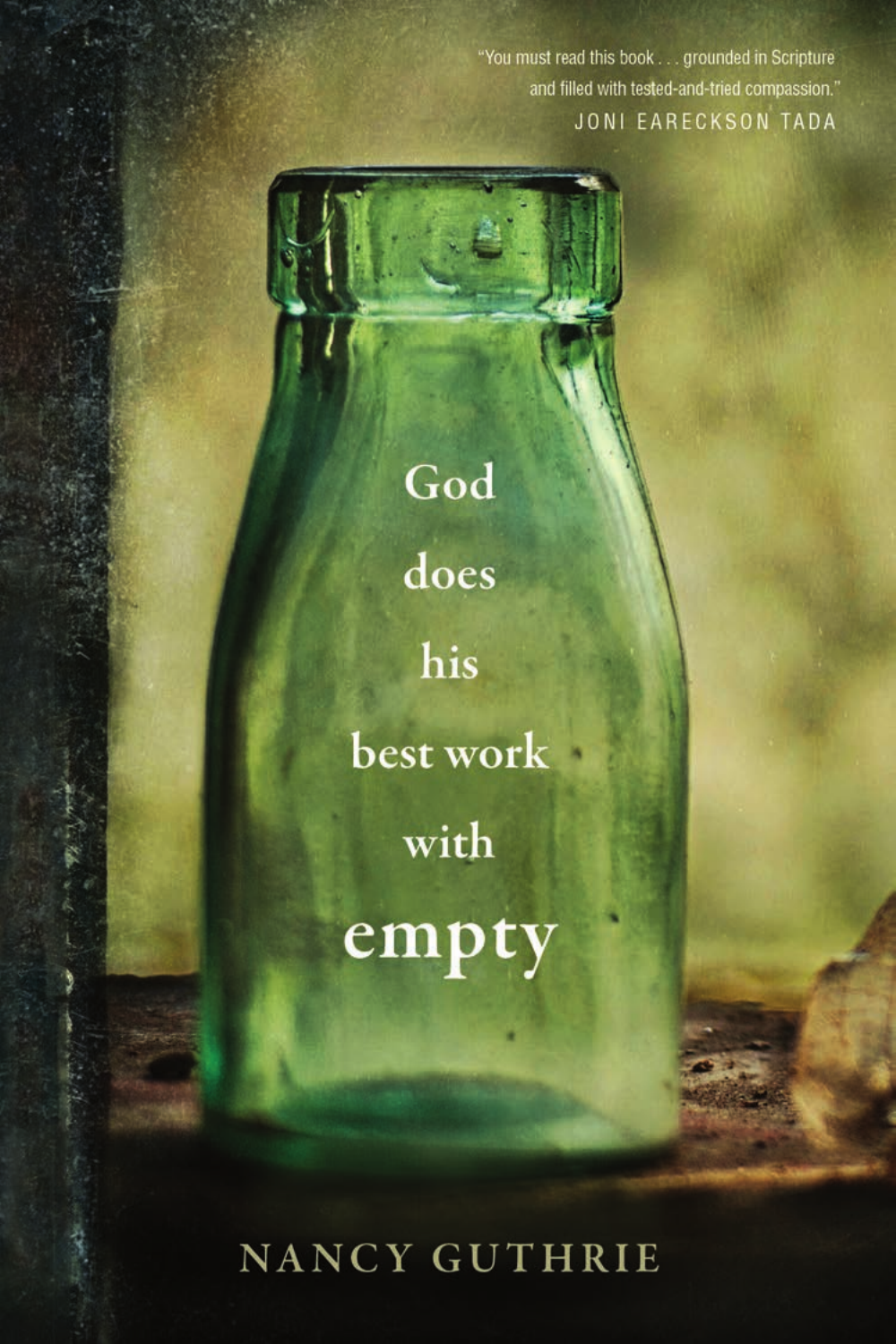"You must read this book . . . grounded in Scripture and filled with tested-and-tried compassion." JONI EARECKSON TADA

God does his best work with empty

NANCY GUTHRIE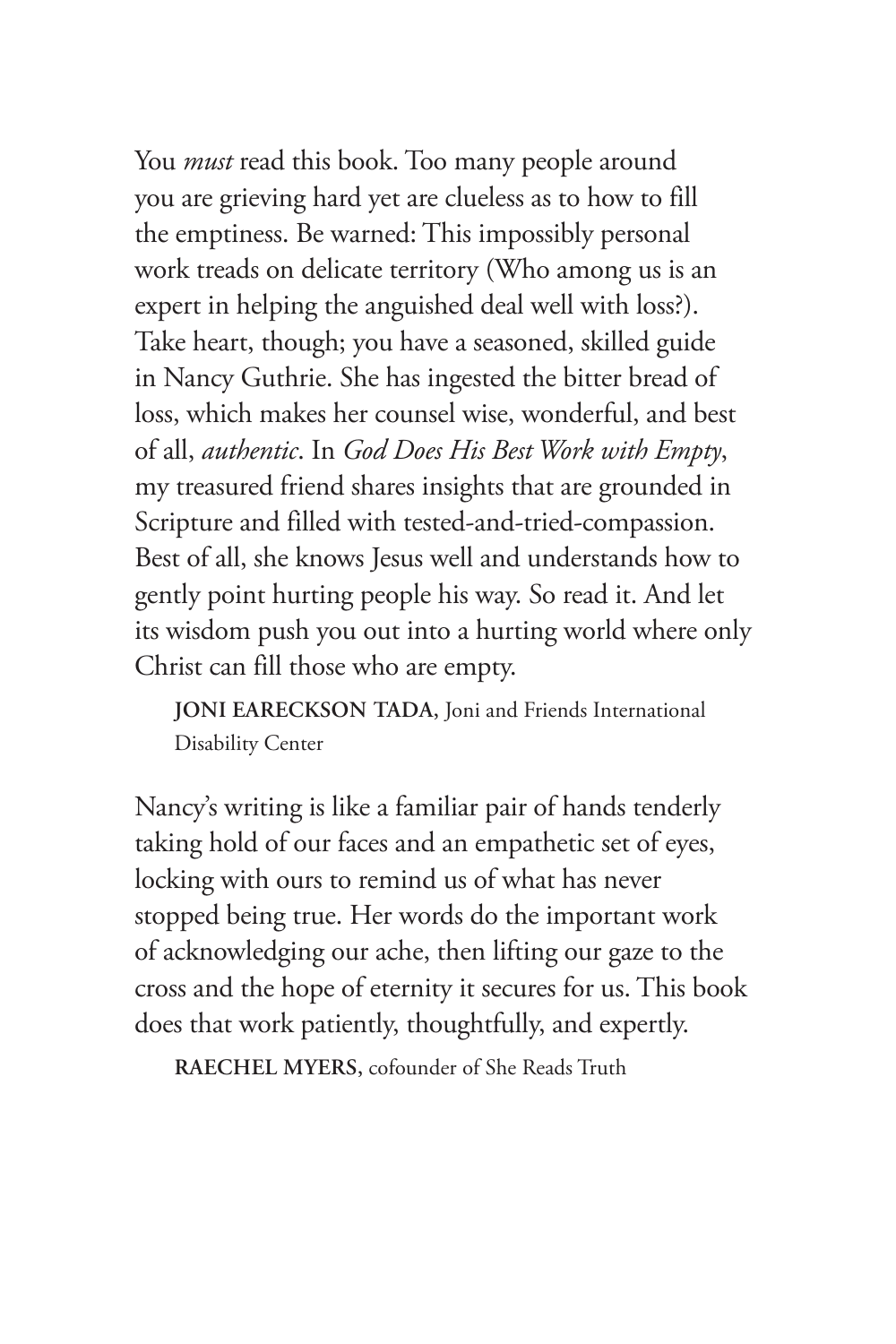You *must* read this book. Too many people around you are grieving hard yet are clueless as to how to fill the emptiness. Be warned: This impossibly personal work treads on delicate territory (Who among us is an expert in helping the anguished deal well with loss?). Take heart, though; you have a seasoned, skilled guide in Nancy Guthrie. She has ingested the bitter bread of loss, which makes her counsel wise, wonderful, and best of all, *authentic*. In *God Does His Best Work with Empty*, my treasured friend shares insights that are grounded in Scripture and filled with tested-and-tried-compassion. Best of all, she knows Jesus well and understands how to gently point hurting people his way. So read it. And let its wisdom push you out into a hurting world where only Christ can fill those who are empty.

**JONI EARECKSON TADA,** Joni and Friends International Disability Center

Nancy's writing is like a familiar pair of hands tenderly taking hold of our faces and an empathetic set of eyes, locking with ours to remind us of what has never stopped being true. Her words do the important work of acknowledging our ache, then lifting our gaze to the cross and the hope of eternity it secures for us. This book does that work patiently, thoughtfully, and expertly.

**RAECHEL MYERS,** cofounder of She Reads Truth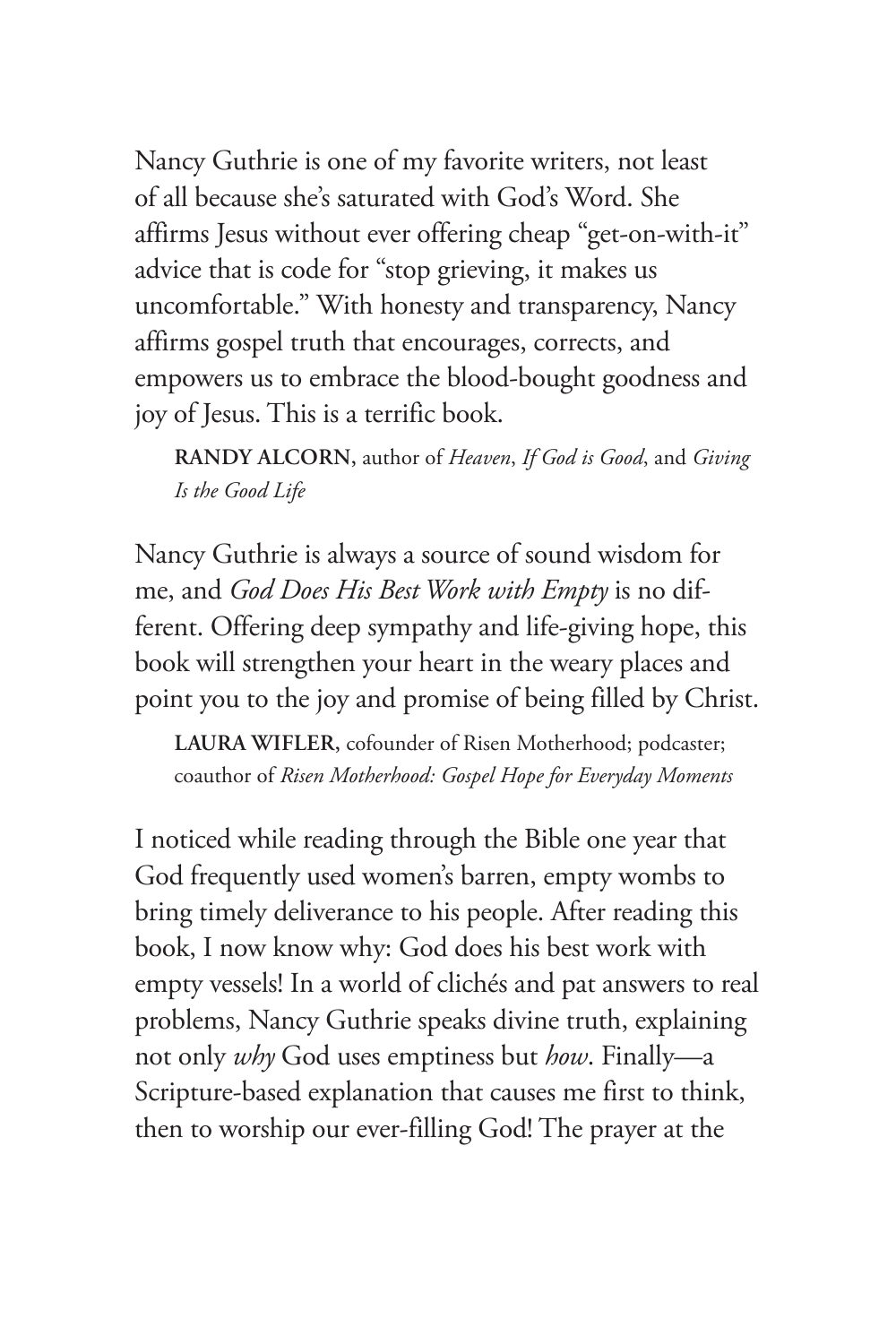Nancy Guthrie is one of my favorite writers, not least of all because she's saturated with God's Word. She affirms Jesus without ever offering cheap "get-on-with-it" advice that is code for "stop grieving, it makes us uncomfortable." With honesty and transparency, Nancy affirms gospel truth that encourages, corrects, and empowers us to embrace the blood-bought goodness and joy of Jesus. This is a terrific book.

**RANDY ALCORN,** author of *Heaven*, *If God is Good*, and *Giving Is the Good Life*

Nancy Guthrie is always a source of sound wisdom for me, and *God Does His Best Work with Empty* is no different. Offering deep sympathy and life-giving hope, this book will strengthen your heart in the weary places and point you to the joy and promise of being filled by Christ.

**LAURA WIFLER,** cofounder of Risen Motherhood; podcaster; coauthor of *Risen Motherhood: Gospel Hope for Everyday Moments*

I noticed while reading through the Bible one year that God frequently used women's barren, empty wombs to bring timely deliverance to his people. After reading this book, I now know why: God does his best work with empty vessels! In a world of clichés and pat answers to real problems, Nancy Guthrie speaks divine truth, explaining not only *why* God uses emptiness but *how*. Finally—a Scripture-based explanation that causes me first to think, then to worship our ever-filling God! The prayer at the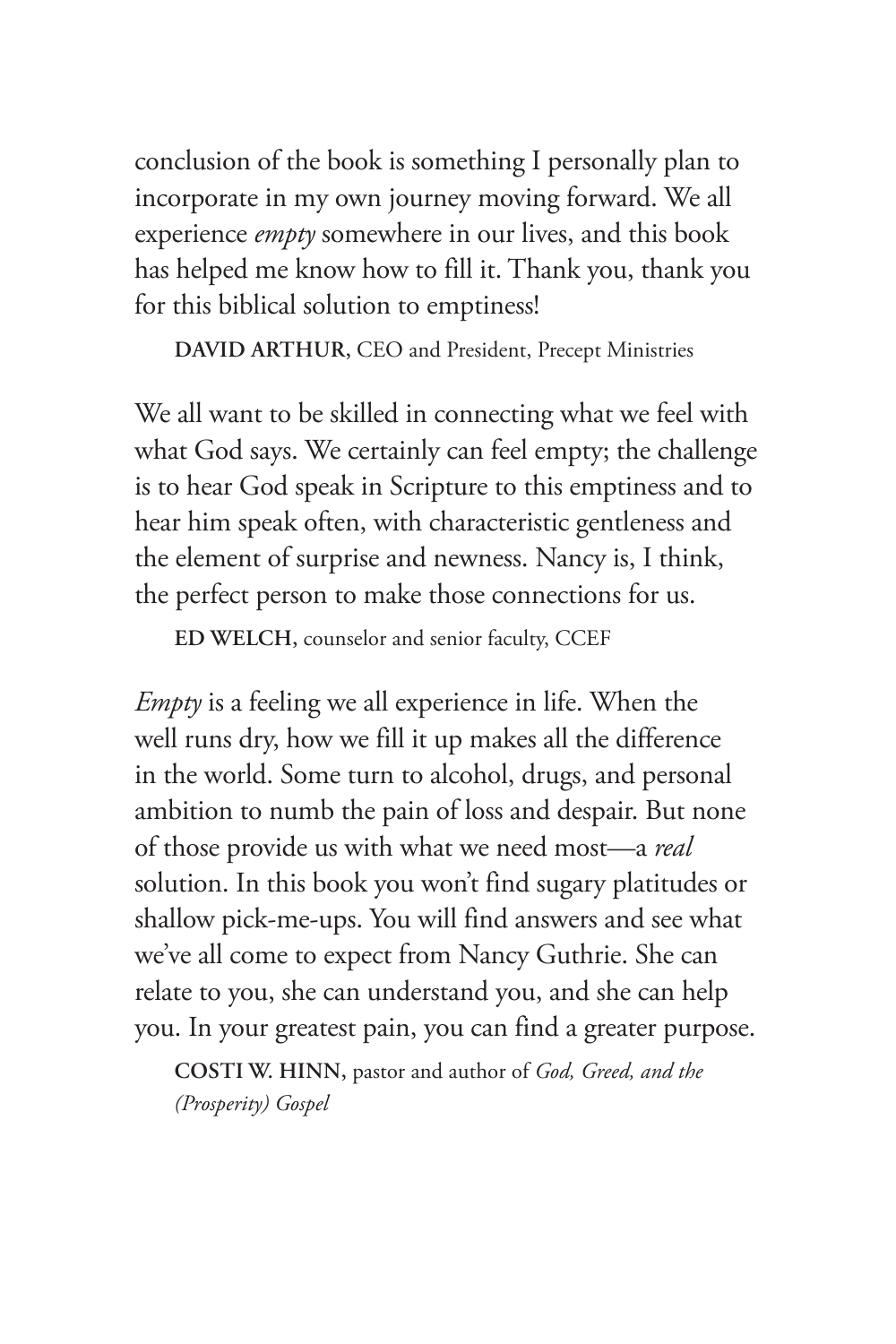conclusion of the book is something I personally plan to incorporate in my own journey moving forward. We all experience *empty* somewhere in our lives, and this book has helped me know how to fill it. Thank you, thank you for this biblical solution to emptiness!

**DAVID ARTHUR,** CEO and President, Precept Ministries

We all want to be skilled in connecting what we feel with what God says. We certainly can feel empty; the challenge is to hear God speak in Scripture to this emptiness and to hear him speak often, with characteristic gentleness and the element of surprise and newness. Nancy is, I think, the perfect person to make those connections for us.

**ED WELCH,** counselor and senior faculty, CCEF

*Empty* is a feeling we all experience in life. When the well runs dry, how we fill it up makes all the difference in the world. Some turn to alcohol, drugs, and personal ambition to numb the pain of loss and despair. But none of those provide us with what we need most—a *real* solution. In this book you won't find sugary platitudes or shallow pick-me-ups. You will find answers and see what we've all come to expect from Nancy Guthrie. She can relate to you, she can understand you, and she can help you. In your greatest pain, you can find a greater purpose.

**COSTI W. HINN,** pastor and author of *God, Greed, and the (Prosperity) Gospel*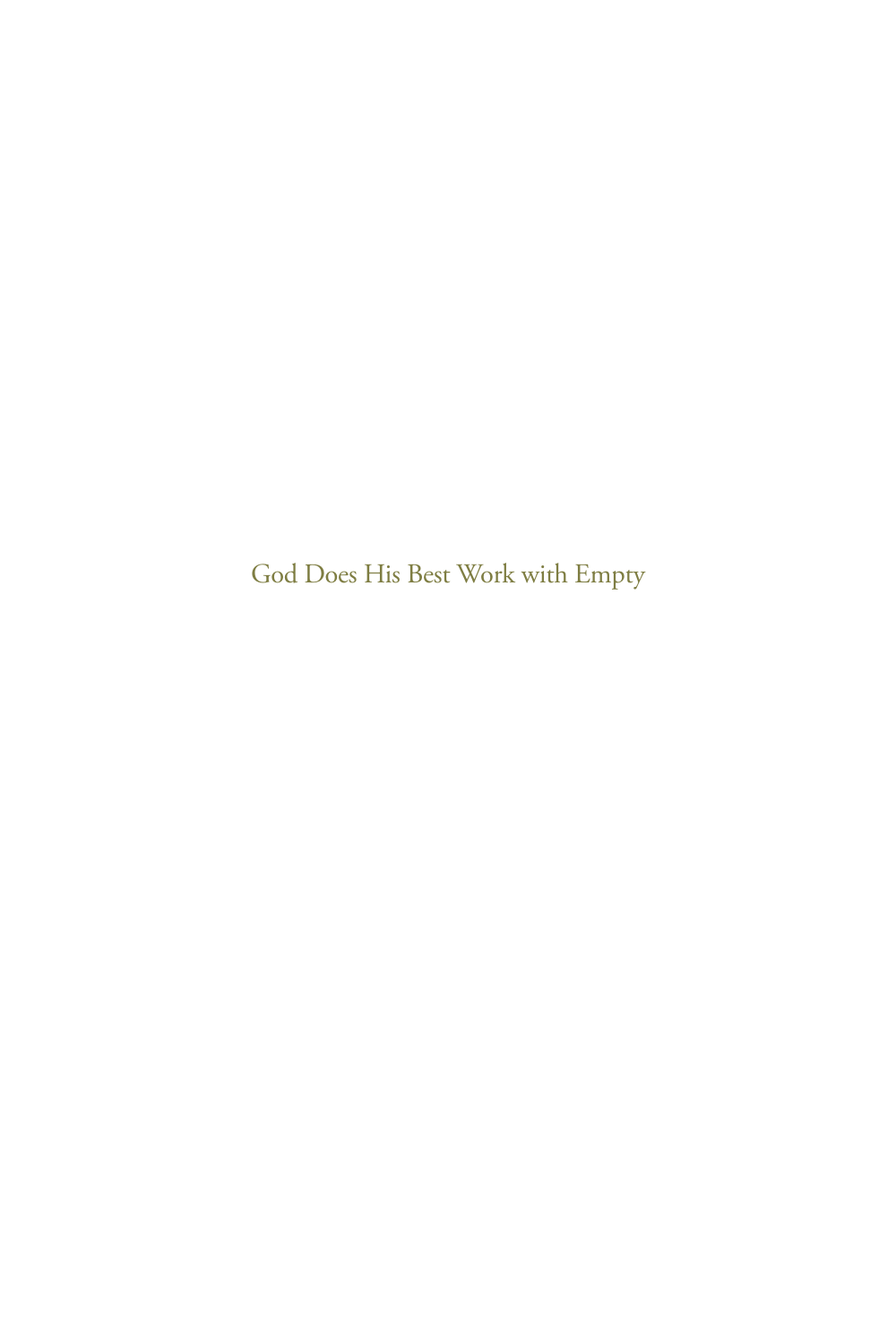God Does His Best Work with Empty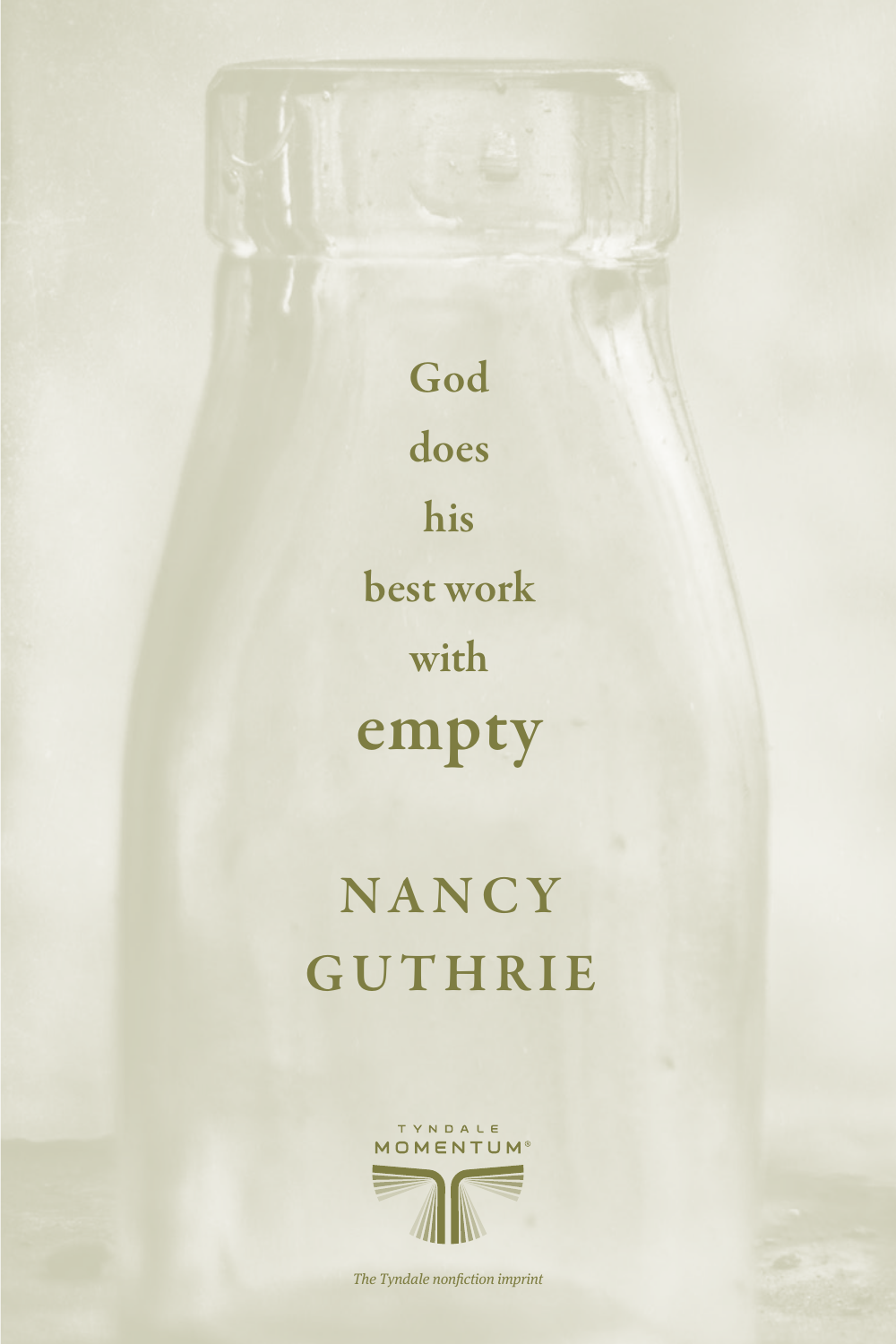God does his best work with empty

# **NANCY GUTHRIE**



The Tyndale nonfiction imprint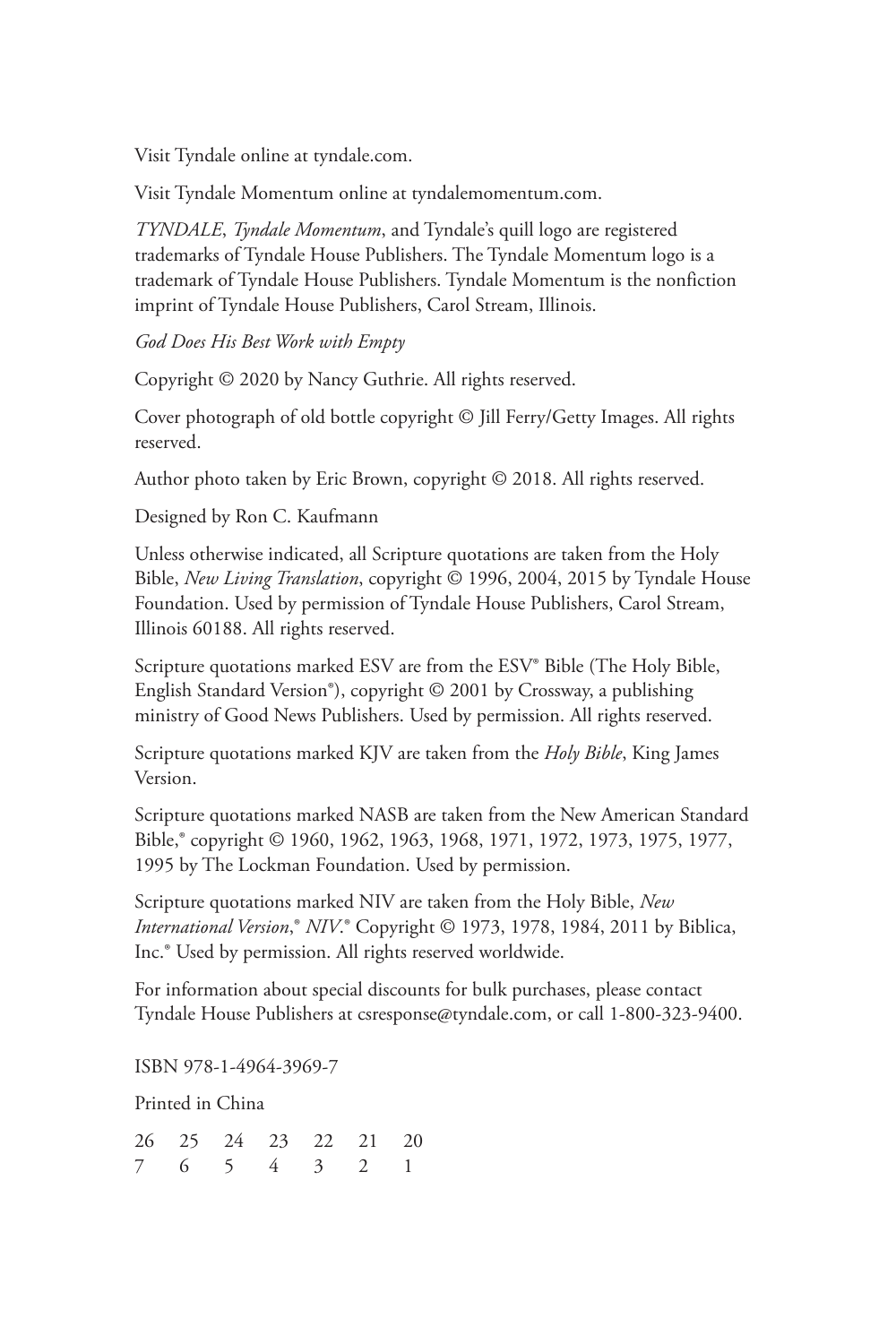Visit Tyndale online at tyndale.com.

Visit Tyndale Momentum online at tyndalemomentum.com.

*TYNDALE*, *Tyndale Momentum*, and Tyndale's quill logo are registered trademarks of Tyndale House Publishers. The Tyndale Momentum logo is a trademark of Tyndale House Publishers. Tyndale Momentum is the nonfiction imprint of Tyndale House Publishers, Carol Stream, Illinois.

*God Does His Best Work with Empty*

Copyright © 2020 by Nancy Guthrie. All rights reserved.

Cover photograph of old bottle copyright © Jill Ferry/Getty Images. All rights reserved.

Author photo taken by Eric Brown, copyright © 2018. All rights reserved.

Designed by Ron C. Kaufmann

Unless otherwise indicated, all Scripture quotations are taken from the Holy Bible, *New Living Translation*, copyright © 1996, 2004, 2015 by Tyndale House Foundation. Used by permission of Tyndale House Publishers, Carol Stream, Illinois 60188. All rights reserved.

Scripture quotations marked ESV are from the ESV® Bible (The Holy Bible, English Standard Version®), copyright © 2001 by Crossway, a publishing ministry of Good News Publishers. Used by permission. All rights reserved.

Scripture quotations marked KJV are taken from the *Holy Bible*, King James Version.

Scripture quotations marked NASB are taken from the New American Standard Bible,® copyright © 1960, 1962, 1963, 1968, 1971, 1972, 1973, 1975, 1977, 1995 by The Lockman Foundation. Used by permission.

Scripture quotations marked NIV are taken from the Holy Bible, *New International Version*,® *NIV*.® Copyright © 1973, 1978, 1984, 2011 by Biblica, Inc.® Used by permission. All rights reserved worldwide.

For information about special discounts for bulk purchases, please contact Tyndale House Publishers at csresponse@tyndale.com, or call 1-800-323-9400.

ISBN 978-1-4964-3969-7

Printed in China

|  | 26 25 24 23 22 21 20 |  |  |
|--|----------------------|--|--|
|  | 7 6 5 4 3 2 1        |  |  |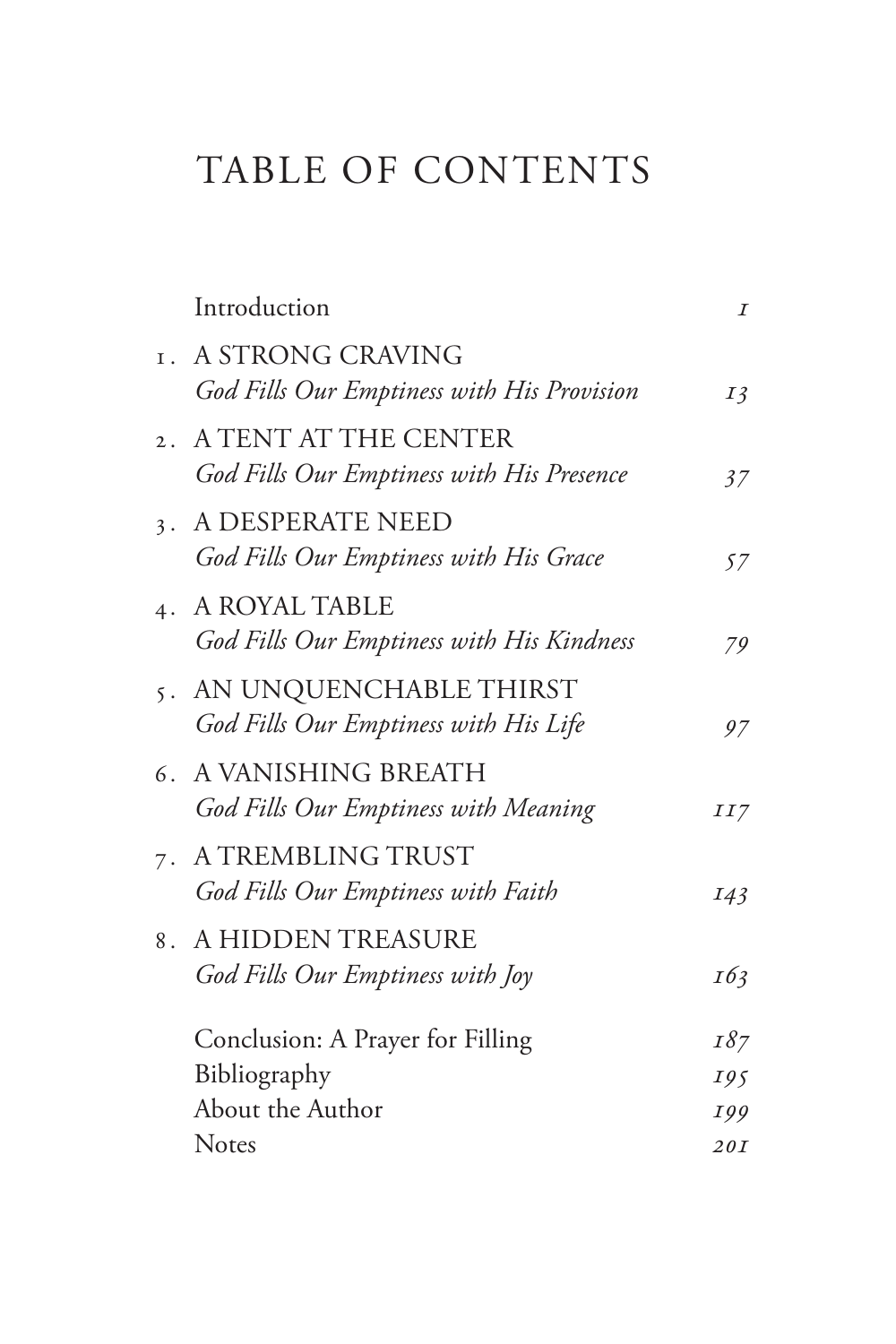### TABLE OF CONTENTS

| Introduction                                                         | $\boldsymbol{I}$ |
|----------------------------------------------------------------------|------------------|
| I. A STRONG CRAVING<br>God Fills Our Emptiness with His Provision    | $I\bar{3}$       |
| 2. A TENT AT THE CENTER<br>God Fills Our Emptiness with His Presence | 37               |
| 3. A DESPERATE NEED<br>God Fills Our Emptiness with His Grace        | 57               |
| 4. A ROYAL TABLE<br>God Fills Our Emptiness with His Kindness        | 79               |
| 5. AN UNQUENCHABLE THIRST<br>God Fills Our Emptiness with His Life   | 97               |
| 6. A VANISHING BREATH<br>God Fills Our Emptiness with Meaning        | II7              |
| 7. A TREMBLING TRUST<br>God Fills Our Emptiness with Faith           | I43              |
| 8. A HIDDEN TREASURE<br>God Fills Our Emptiness with Joy             | 163              |
| Conclusion: A Prayer for Filling                                     | 187              |
| Bibliography                                                         | 195              |
| About the Author                                                     | 199              |
| <b>Notes</b>                                                         | 20I              |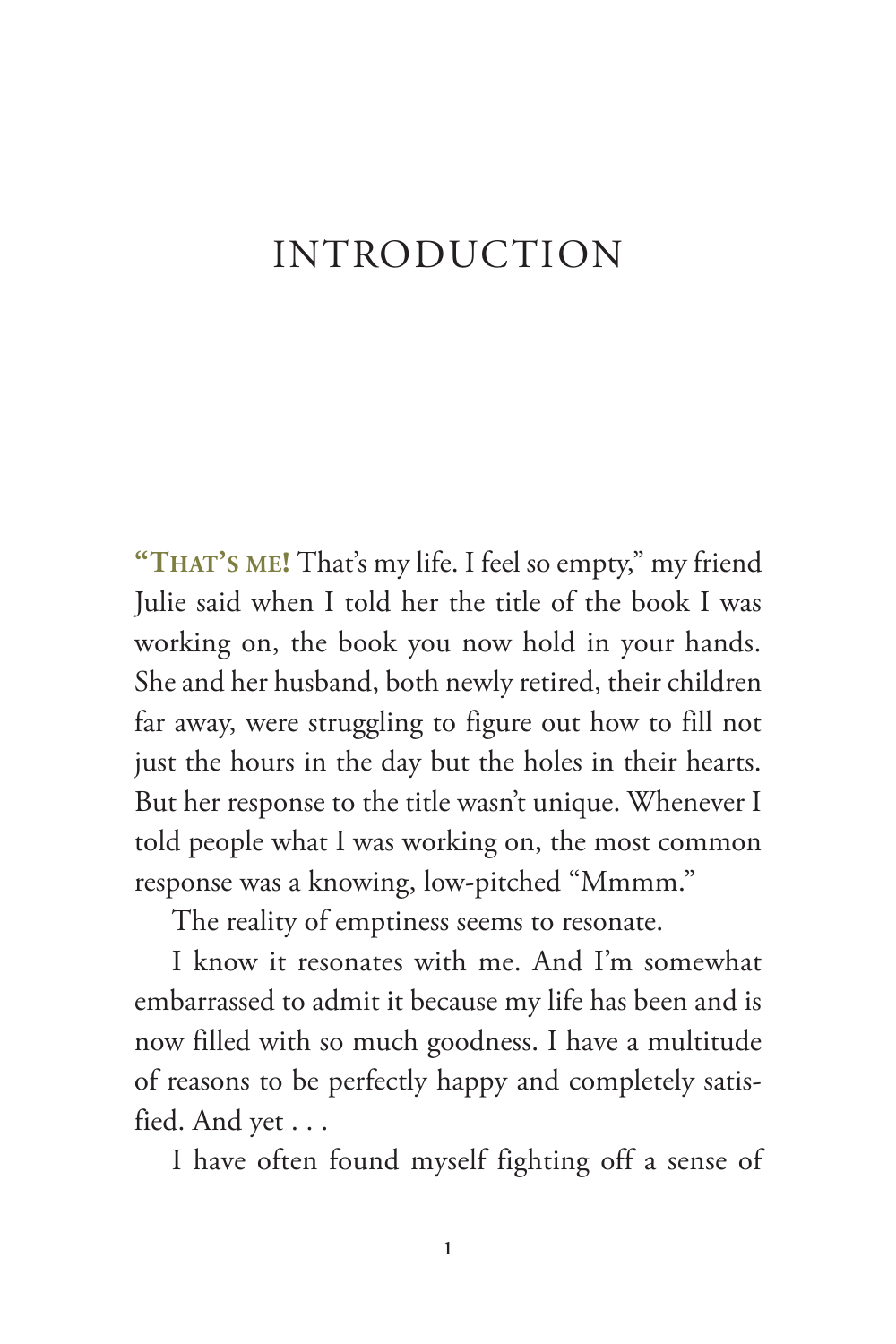#### <span id="page-12-0"></span>INTRODUCTION

**"That's me!** That's my life. I feel so empty," my friend Julie said when I told her the title of the book I was working on, the book you now hold in your hands. She and her husband, both newly retired, their children far away, were struggling to figure out how to fill not just the hours in the day but the holes in their hearts. But her response to the title wasn't unique. Whenever I told people what I was working on, the most common response was a knowing, low-pitched "Mmmm."

The reality of emptiness seems to resonate.

I know it resonates with me. And I'm somewhat embarrassed to admit it because my life has been and is now filled with so much goodness. I have a multitude of reasons to be perfectly happy and completely satisfied. And yet . . .

I have often found myself fighting off a sense of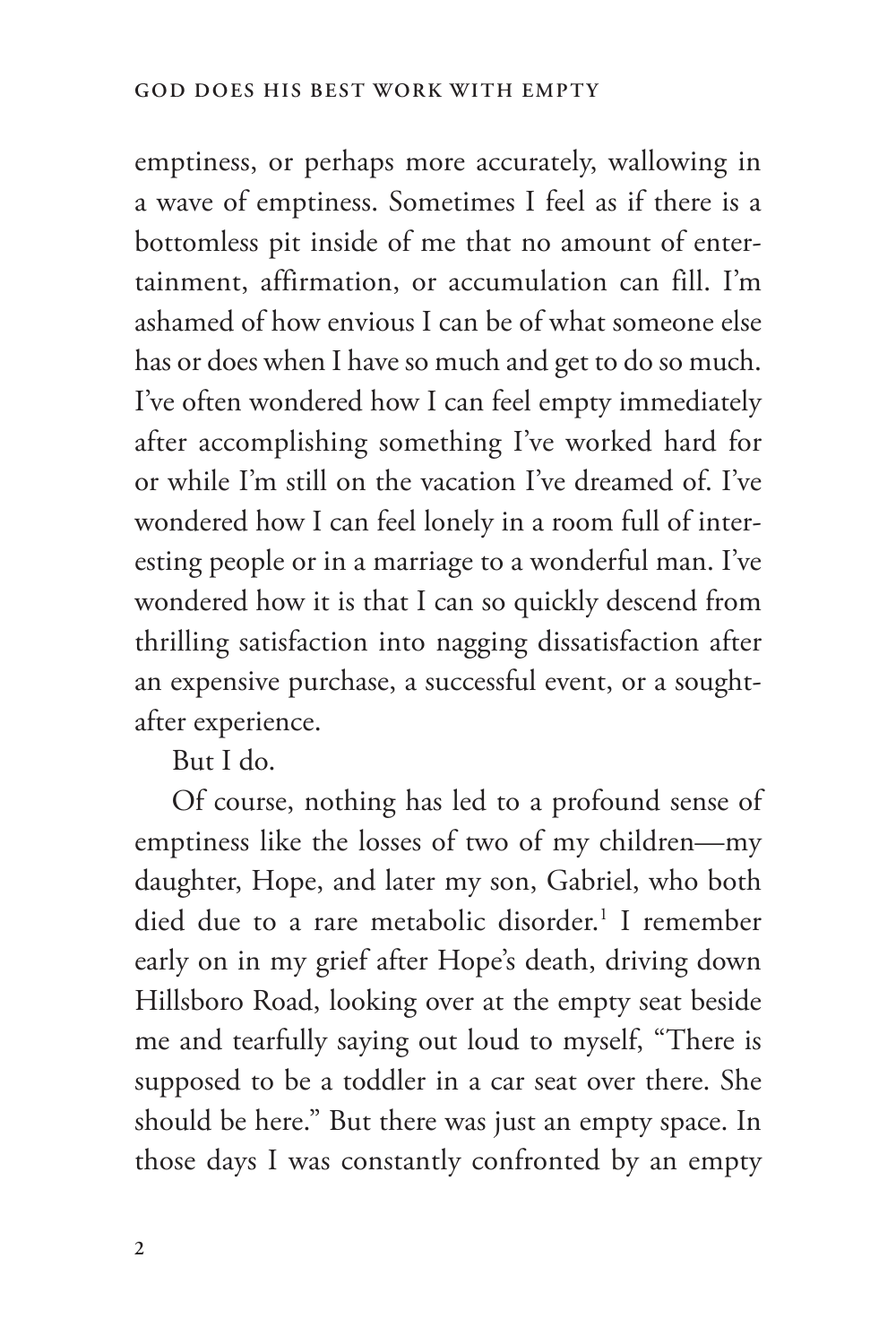emptiness, or perhaps more accurately, wallowing in a wave of emptiness. Sometimes I feel as if there is a bottomless pit inside of me that no amount of entertainment, affirmation, or accumulation can fill. I'm ashamed of how envious I can be of what someone else has or does when I have so much and get to do so much. I've often wondered how I can feel empty immediately after accomplishing something I've worked hard for or while I'm still on the vacation I've dreamed of. I've wondered how I can feel lonely in a room full of interesting people or in a marriage to a wonderful man. I've wondered how it is that I can so quickly descend from thrilling satisfaction into nagging dissatisfaction after an expensive purchase, a successful event, or a soughtafter experience.

But I do.

Of course, nothing has led to a profound sense of emptiness like the losses of two of my children—my daughter, Hope, and later my son, Gabriel, who both died due to a rare metabolic disorder.<sup>1</sup> I remember early on in my grief after Hope's death, driving down Hillsboro Road, looking over at the empty seat beside me and tearfully saying out loud to myself, "There is supposed to be a toddler in a car seat over there. She should be here." But there was just an empty space. In those days I was constantly confronted by an empty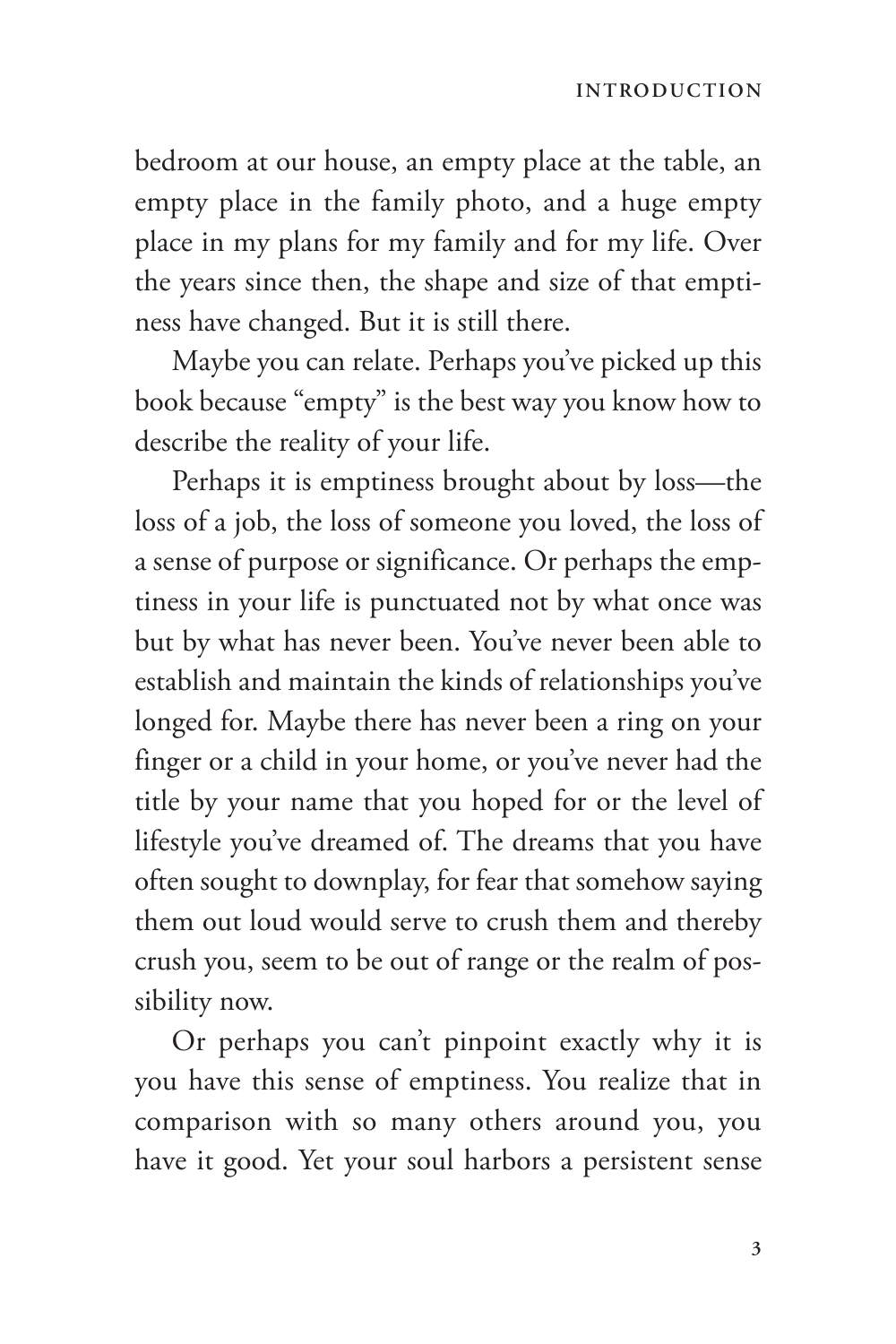bedroom at our house, an empty place at the table, an empty place in the family photo, and a huge empty place in my plans for my family and for my life. Over the years since then, the shape and size of that emptiness have changed. But it is still there.

Maybe you can relate. Perhaps you've picked up this book because "empty" is the best way you know how to describe the reality of your life.

Perhaps it is emptiness brought about by loss—the loss of a job, the loss of someone you loved, the loss of a sense of purpose or significance. Or perhaps the emptiness in your life is punctuated not by what once was but by what has never been. You've never been able to establish and maintain the kinds of relationships you've longed for. Maybe there has never been a ring on your finger or a child in your home, or you've never had the title by your name that you hoped for or the level of lifestyle you've dreamed of. The dreams that you have often sought to downplay, for fear that somehow saying them out loud would serve to crush them and thereby crush you, seem to be out of range or the realm of possibility now.

Or perhaps you can't pinpoint exactly why it is you have this sense of emptiness. You realize that in comparison with so many others around you, you have it good. Yet your soul harbors a persistent sense

**3**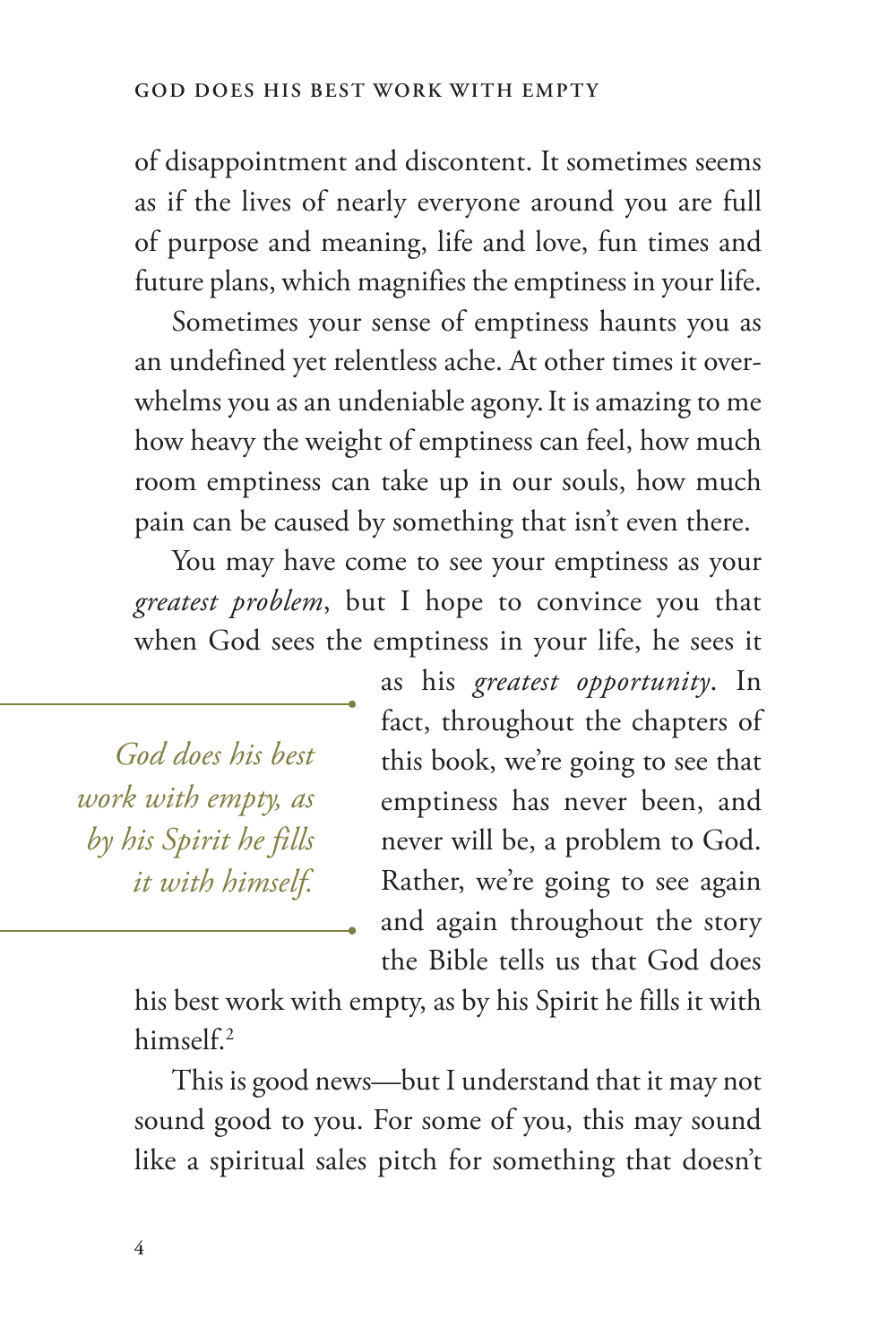of disappointment and discontent. It sometimes seems as if the lives of nearly everyone around you are full of purpose and meaning, life and love, fun times and future plans, which magnifies the emptiness in your life.

Sometimes your sense of emptiness haunts you as an undefined yet relentless ache. At other times it overwhelms you as an undeniable agony.It is amazing to me how heavy the weight of emptiness can feel, how much room emptiness can take up in our souls, how much pain can be caused by something that isn't even there.

You may have come to see your emptiness as your *greatest problem*, but I hope to convince you that when God sees the emptiness in your life, he sees it

*God does his best work with empty, as by his Spirit he fills it with himself.* as his *greatest opportunity*. In fact, throughout the chapters of this book, we're going to see that emptiness has never been, and never will be, a problem to God. Rather, we're going to see again and again throughout the story the Bible tells us that God does

his best work with empty, as by his Spirit he fills it with himself.2

This is good news—but I understand that it may not sound good to you. For some of you, this may sound like a spiritual sales pitch for something that doesn't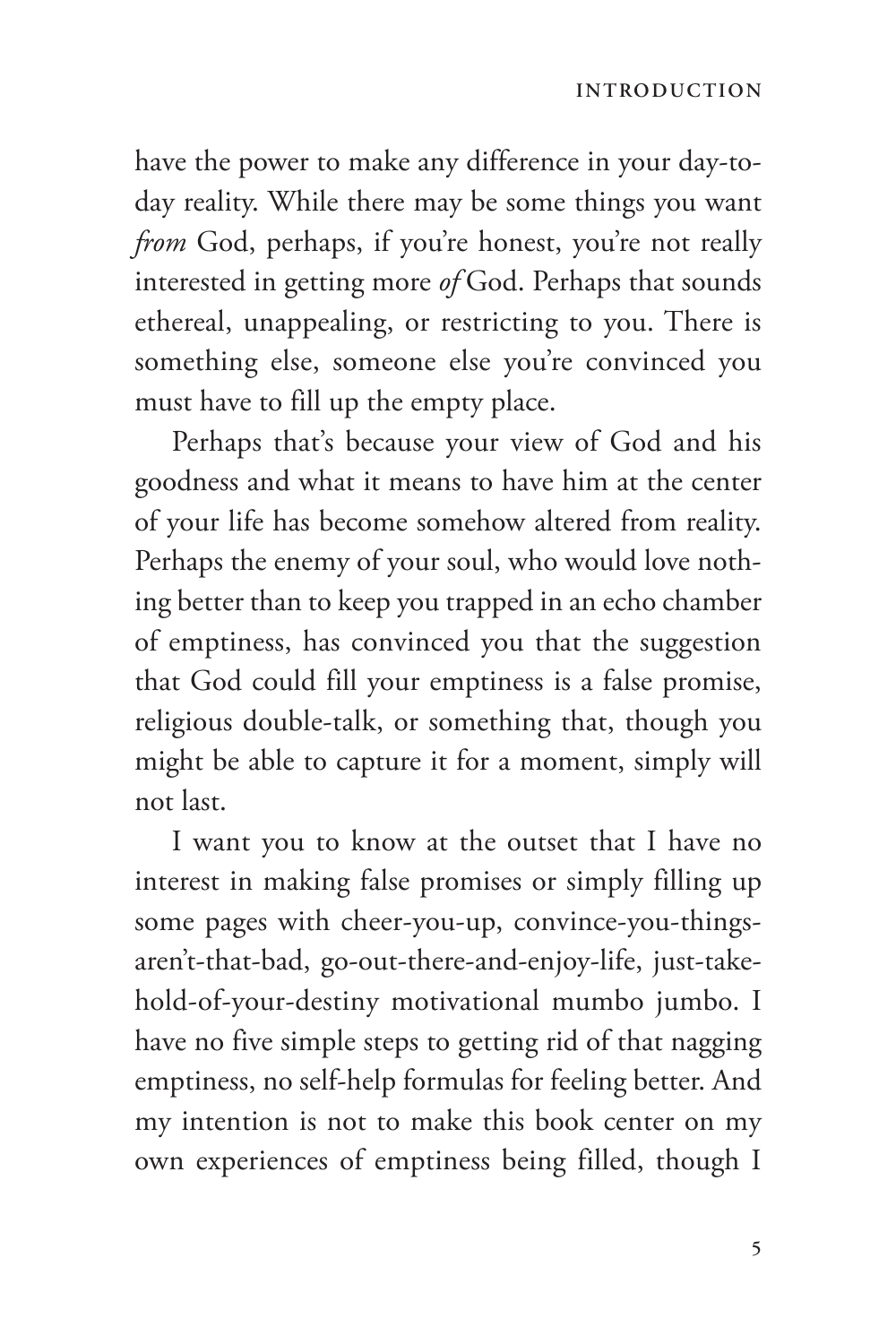have the power to make any difference in your day-today reality. While there may be some things you want *from* God, perhaps, if you're honest, you're not really interested in getting more *of* God. Perhaps that sounds ethereal, unappealing, or restricting to you. There is something else, someone else you're convinced you must have to fill up the empty place.

Perhaps that's because your view of God and his goodness and what it means to have him at the center of your life has become somehow altered from reality. Perhaps the enemy of your soul, who would love nothing better than to keep you trapped in an echo chamber of emptiness, has convinced you that the suggestion that God could fill your emptiness is a false promise, religious double-talk, or something that, though you might be able to capture it for a moment, simply will not last.

I want you to know at the outset that I have no interest in making false promises or simply filling up some pages with cheer-you-up, convince-you-thingsaren't-that-bad, go-out-there-and-enjoy-life, just-takehold-of-your-destiny motivational mumbo jumbo. I have no five simple steps to getting rid of that nagging emptiness, no self-help formulas for feeling better. And my intention is not to make this book center on my own experiences of emptiness being filled, though I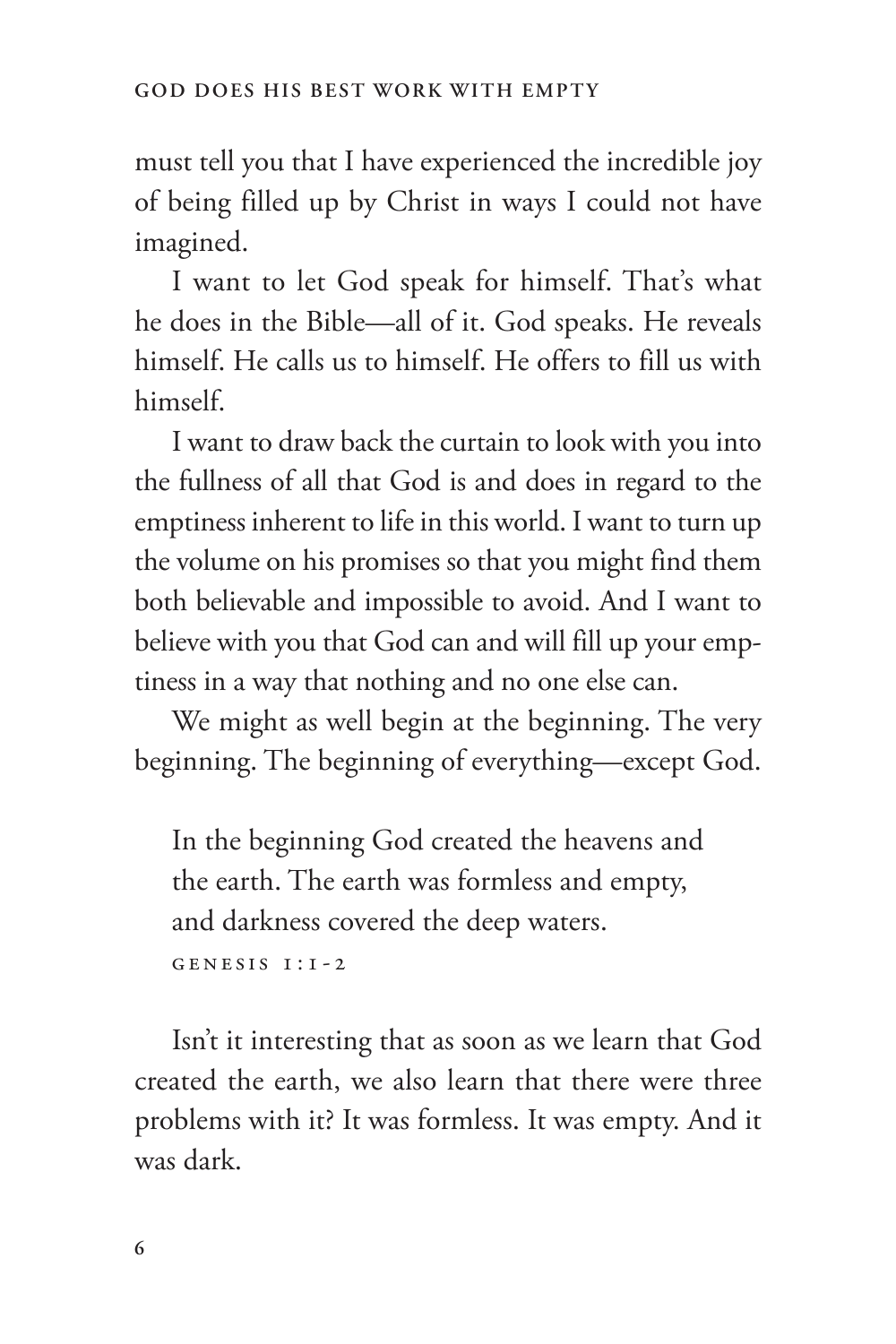must tell you that I have experienced the incredible joy of being filled up by Christ in ways I could not have imagined.

I want to let God speak for himself. That's what he does in the Bible—all of it. God speaks. He reveals himself. He calls us to himself. He offers to fill us with himself.

I want to draw back the curtain to look with you into the fullness of all that God is and does in regard to the emptiness inherent to life in this world. I want to turn up the volume on his promises so that you might find them both believable and impossible to avoid. And I want to believe with you that God can and will fill up your emptiness in a way that nothing and no one else can.

We might as well begin at the beginning. The very beginning. The beginning of everything—except God.

In the beginning God created the heavens and the earth. The earth was formless and empty, and darkness covered the deep waters.

Genesis 1:1-2

Isn't it interesting that as soon as we learn that God created the earth, we also learn that there were three problems with it? It was formless. It was empty. And it was dark.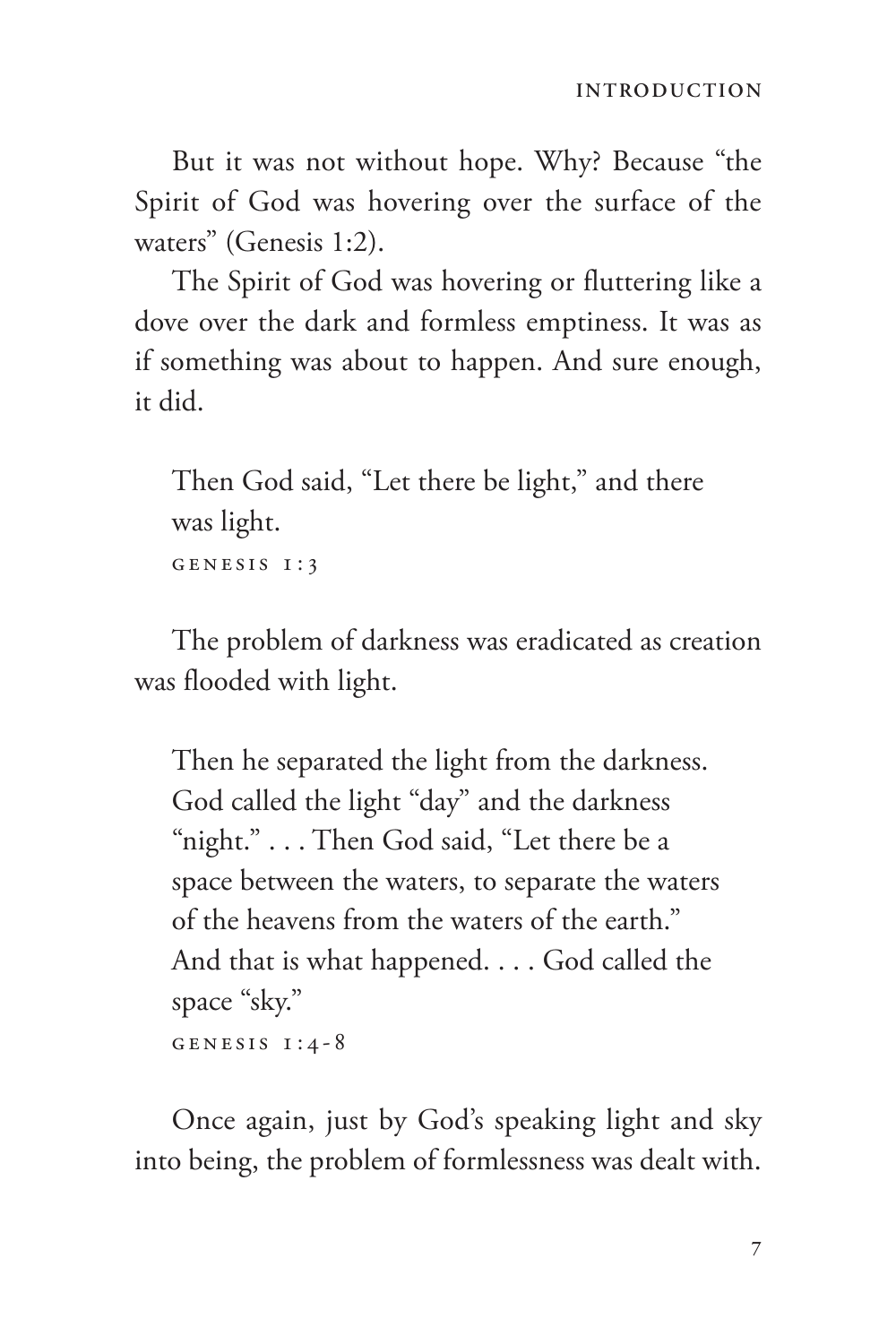But it was not without hope. Why? Because "the Spirit of God was hovering over the surface of the waters" (Genesis 1:2).

The Spirit of God was hovering or fluttering like a dove over the dark and formless emptiness. It was as if something was about to happen. And sure enough, it did.

Then God said, "Let there be light," and there was light. GENESIS 1:3

The problem of darkness was eradicated as creation was flooded with light.

Then he separated the light from the darkness. God called the light "day" and the darkness "night." . . . Then God said, "Let there be a space between the waters, to separate the waters of the heavens from the waters of the earth." And that is what happened. . . . God called the space "sky." GENESIS  $1:4-8$ 

Once again, just by God's speaking light and sky into being, the problem of formlessness was dealt with.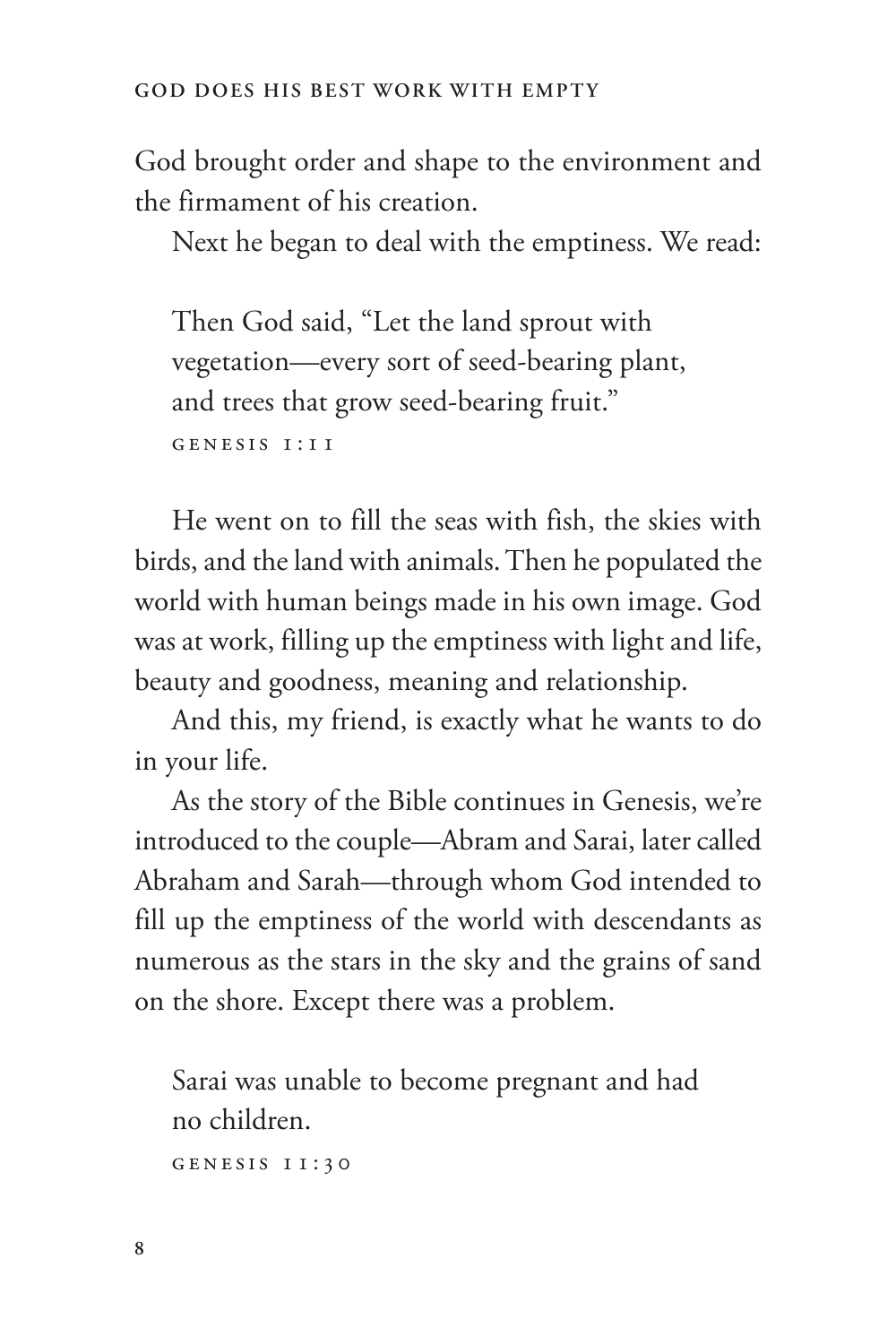God brought order and shape to the environment and the firmament of his creation.

Next he began to deal with the emptiness. We read:

Then God said, "Let the land sprout with vegetation—every sort of seed-bearing plant, and trees that grow seed-bearing fruit." Genesis 1:11

He went on to fill the seas with fish, the skies with birds, and the land with animals. Then he populated the world with human beings made in his own image. God was at work, filling up the emptiness with light and life, beauty and goodness, meaning and relationship.

And this, my friend, is exactly what he wants to do in your life.

As the story of the Bible continues in Genesis, we're introduced to the couple—Abram and Sarai, later called Abraham and Sarah—through whom God intended to fill up the emptiness of the world with descendants as numerous as the stars in the sky and the grains of sand on the shore. Except there was a problem.

Sarai was unable to become pregnant and had no children.

Genesis 11:30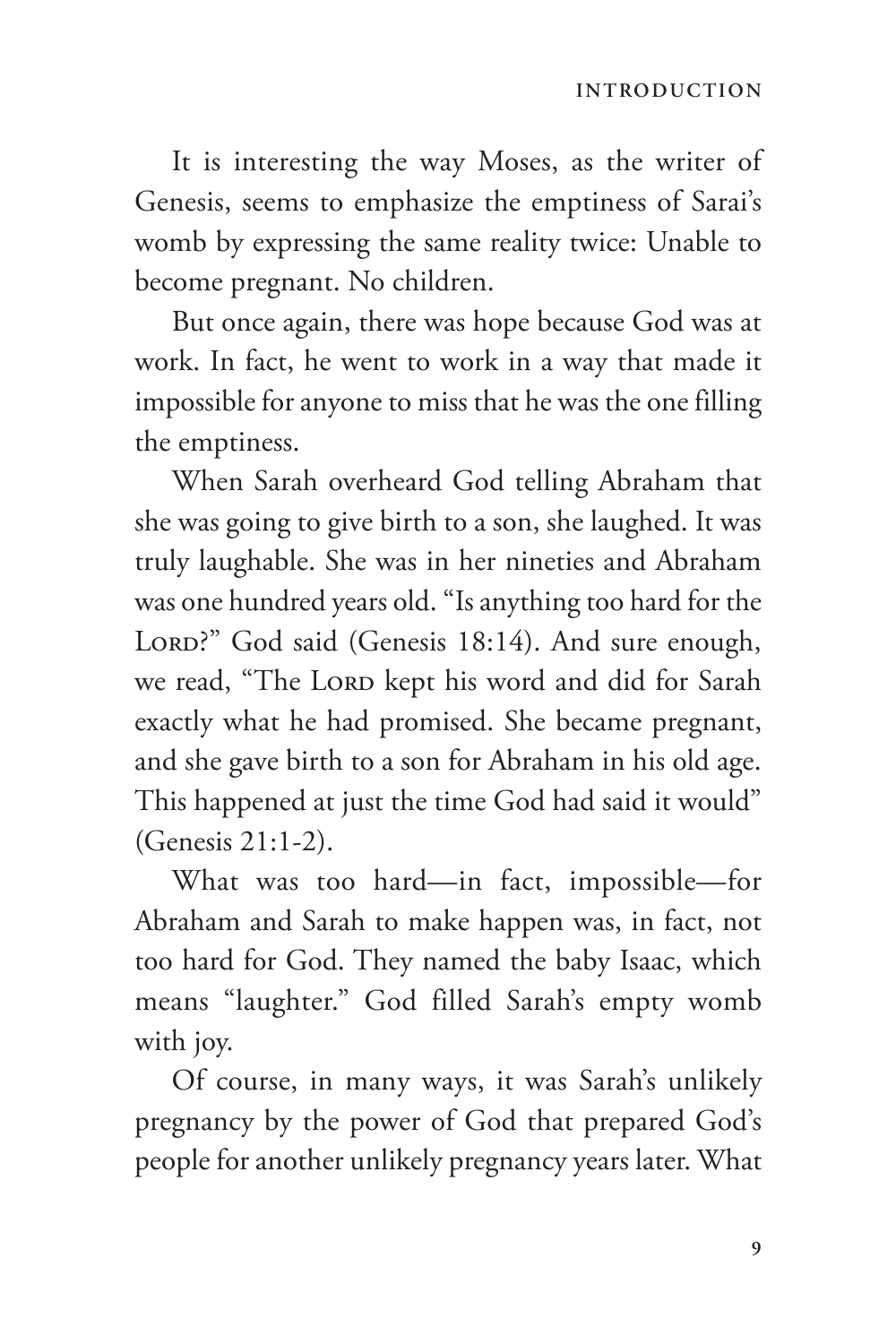It is interesting the way Moses, as the writer of Genesis, seems to emphasize the emptiness of Sarai's womb by expressing the same reality twice: Unable to become pregnant. No children.

But once again, there was hope because God was at work. In fact, he went to work in a way that made it impossible for anyone to miss that he was the one filling the emptiness.

When Sarah overheard God telling Abraham that she was going to give birth to a son, she laughed. It was truly laughable. She was in her nineties and Abraham was one hundred years old. "Is anything too hard for the LORD?" God said (Genesis 18:14). And sure enough, we read, "The LORD kept his word and did for Sarah exactly what he had promised. She became pregnant, and she gave birth to a son for Abraham in his old age. This happened at just the time God had said it would" (Genesis 21:1-2).

What was too hard—in fact, impossible—for Abraham and Sarah to make happen was, in fact, not too hard for God. They named the baby Isaac, which means "laughter." God filled Sarah's empty womb with joy.

Of course, in many ways, it was Sarah's unlikely pregnancy by the power of God that prepared God's people for another unlikely pregnancy years later. What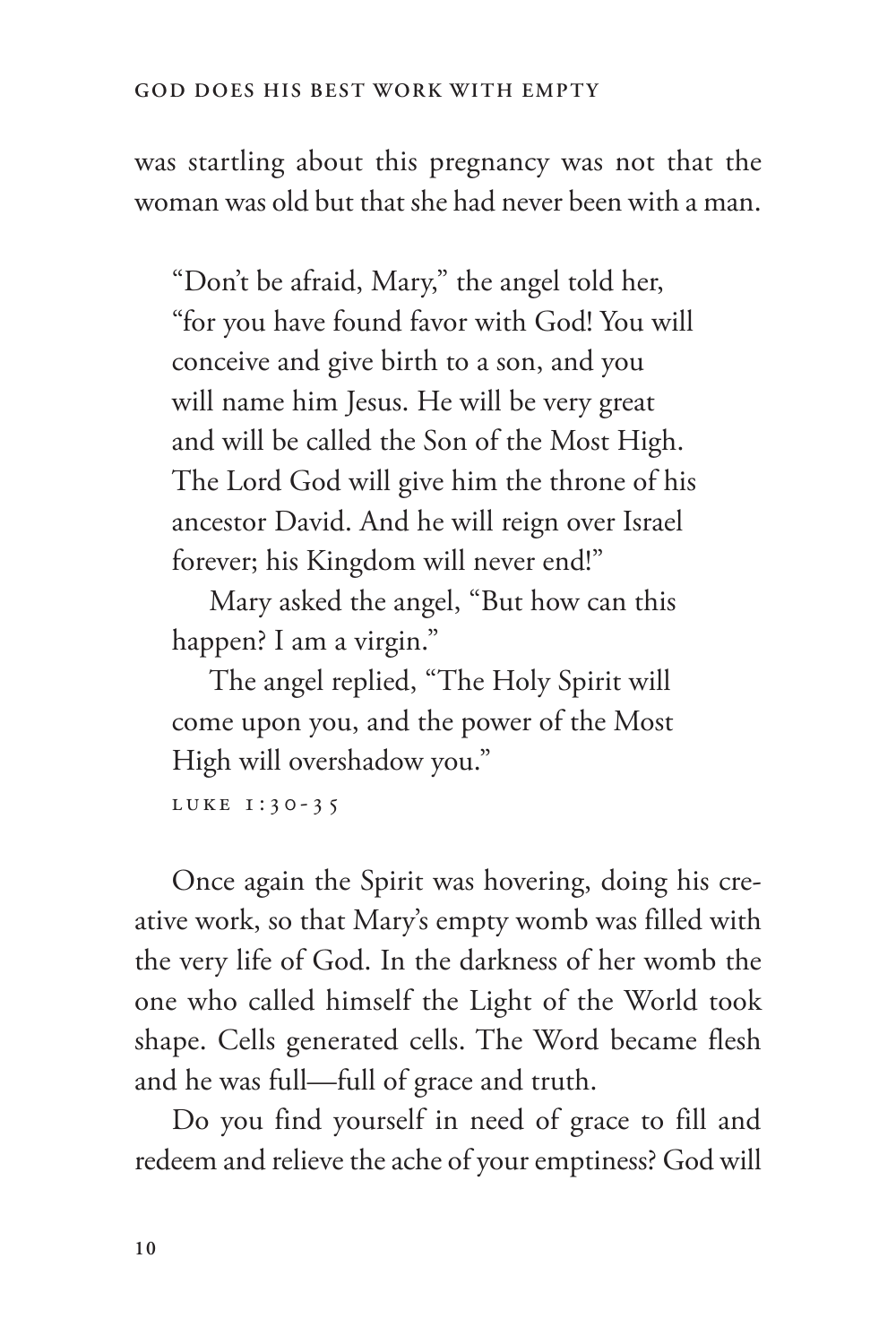was startling about this pregnancy was not that the woman was old but that she had never been with a man.

"Don't be afraid, Mary," the angel told her, "for you have found favor with God! You will conceive and give birth to a son, and you will name him Jesus. He will be very great and will be called the Son of the Most High. The Lord God will give him the throne of his ancestor David. And he will reign over Israel forever; his Kingdom will never end!"

Mary asked the angel, "But how can this happen? I am a virgin."

The angel replied, "The Holy Spirit will come upon you, and the power of the Most High will overshadow you."

LUKE 1:30-35

Once again the Spirit was hovering, doing his creative work, so that Mary's empty womb was filled with the very life of God. In the darkness of her womb the one who called himself the Light of the World took shape. Cells generated cells. The Word became flesh and he was full—full of grace and truth.

Do you find yourself in need of grace to fill and redeem and relieve the ache of your emptiness? God will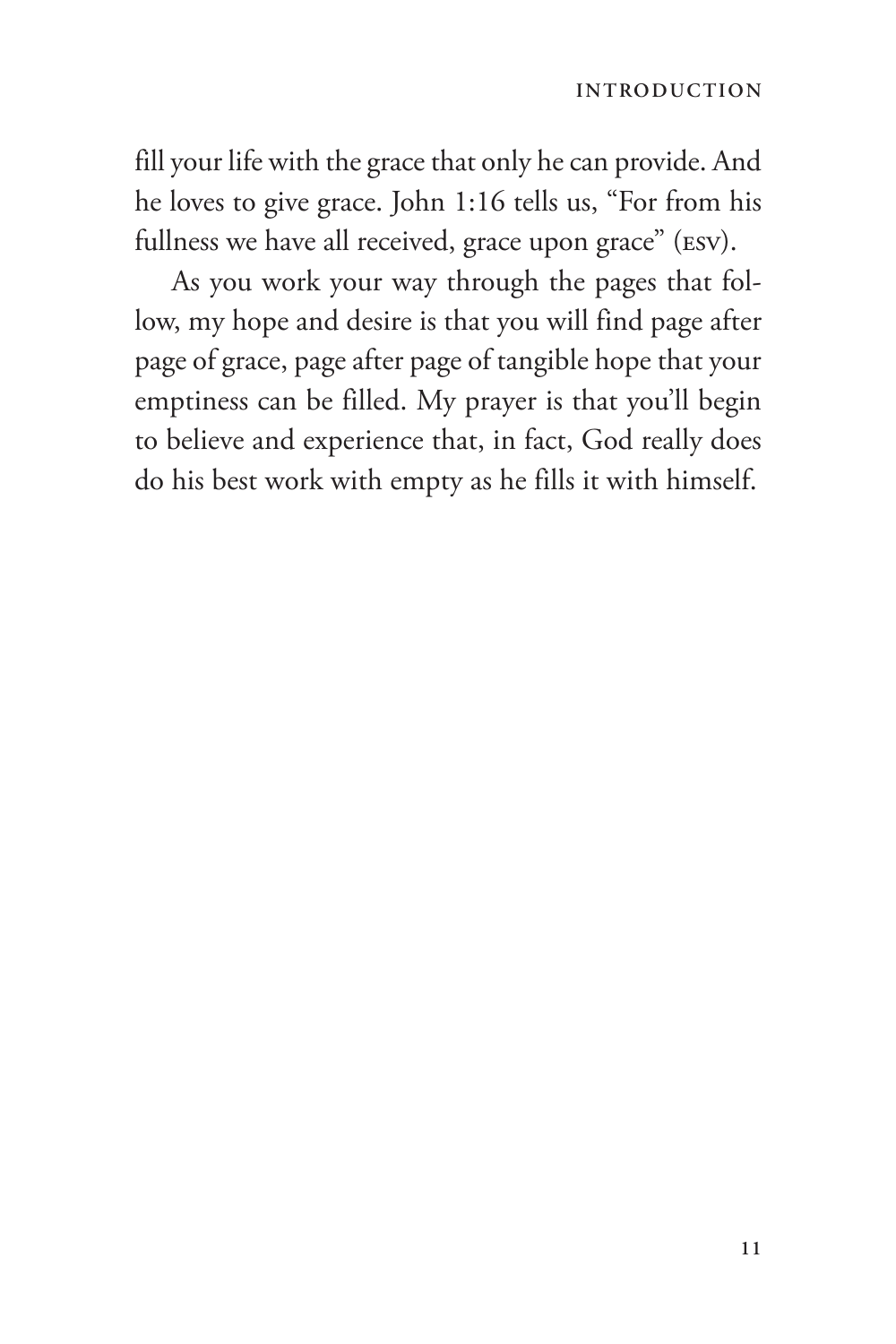fill your life with the grace that only he can provide. And he loves to give grace. John 1:16 tells us, "For from his fullness we have all received, grace upon grace" (ESV).

As you work your way through the pages that follow, my hope and desire is that you will find page after page of grace, page after page of tangible hope that your emptiness can be filled. My prayer is that you'll begin to believe and experience that, in fact, God really does do his best work with empty as he fills it with himself.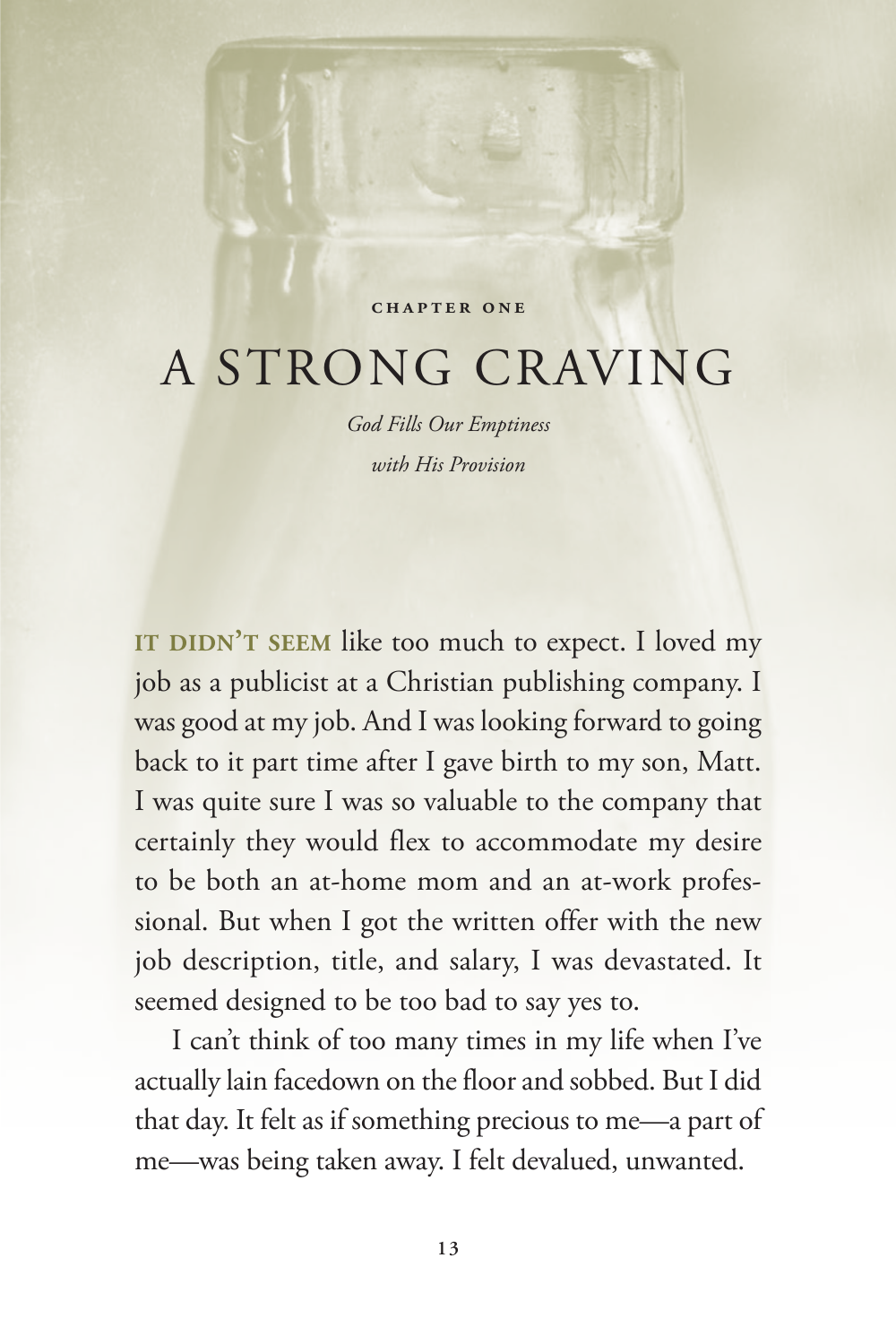#### **Chapter One**

## <span id="page-24-0"></span>A STRONG CRAVING

*God Fills Our Emptiness with His Provision*

IT DIDN'T SEEM like too much to expect. I loved my job as a publicist at a Christian publishing company. I was good at my job. And I was looking forward to going back to it part time after I gave birth to my son, Matt. I was quite sure I was so valuable to the company that certainly they would flex to accommodate my desire to be both an at-home mom and an at-work professional. But when I got the written offer with the new job description, title, and salary, I was devastated. It seemed designed to be too bad to say yes to.

I can't think of too many times in my life when I've actually lain facedown on the floor and sobbed. But I did that day. It felt as if something precious to me—a part of me—was being taken away. I felt devalued, unwanted.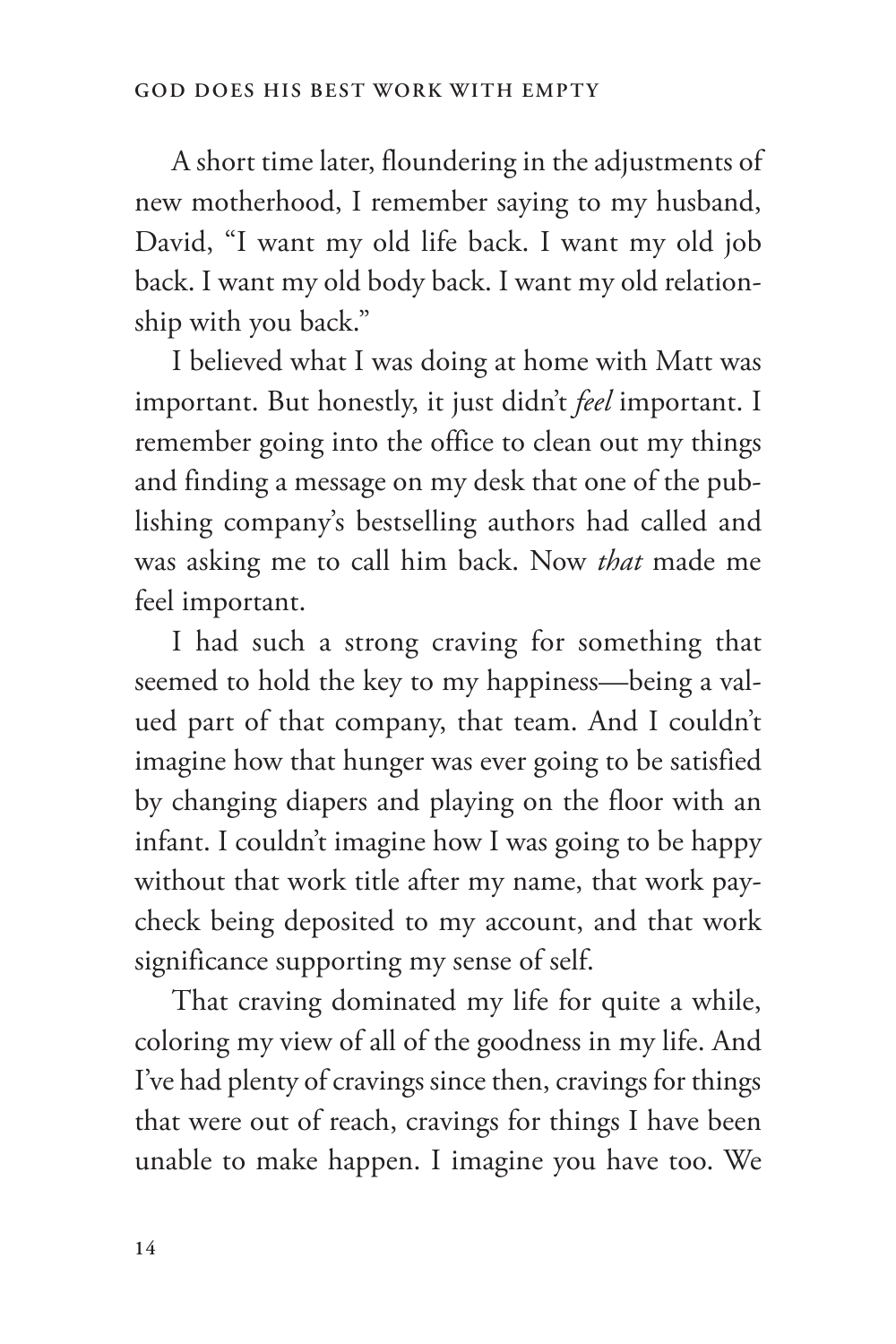A short time later, floundering in the adjustments of new motherhood, I remember saying to my husband, David, "I want my old life back. I want my old job back. I want my old body back. I want my old relationship with you back."

I believed what I was doing at home with Matt was important. But honestly, it just didn't *feel* important. I remember going into the office to clean out my things and finding a message on my desk that one of the publishing company's bestselling authors had called and was asking me to call him back. Now *that* made me feel important.

I had such a strong craving for something that seemed to hold the key to my happiness—being a valued part of that company, that team. And I couldn't imagine how that hunger was ever going to be satisfied by changing diapers and playing on the floor with an infant. I couldn't imagine how I was going to be happy without that work title after my name, that work paycheck being deposited to my account, and that work significance supporting my sense of self.

That craving dominated my life for quite a while, coloring my view of all of the goodness in my life. And I've had plenty of cravings since then, cravings for things that were out of reach, cravings for things I have been unable to make happen. I imagine you have too. We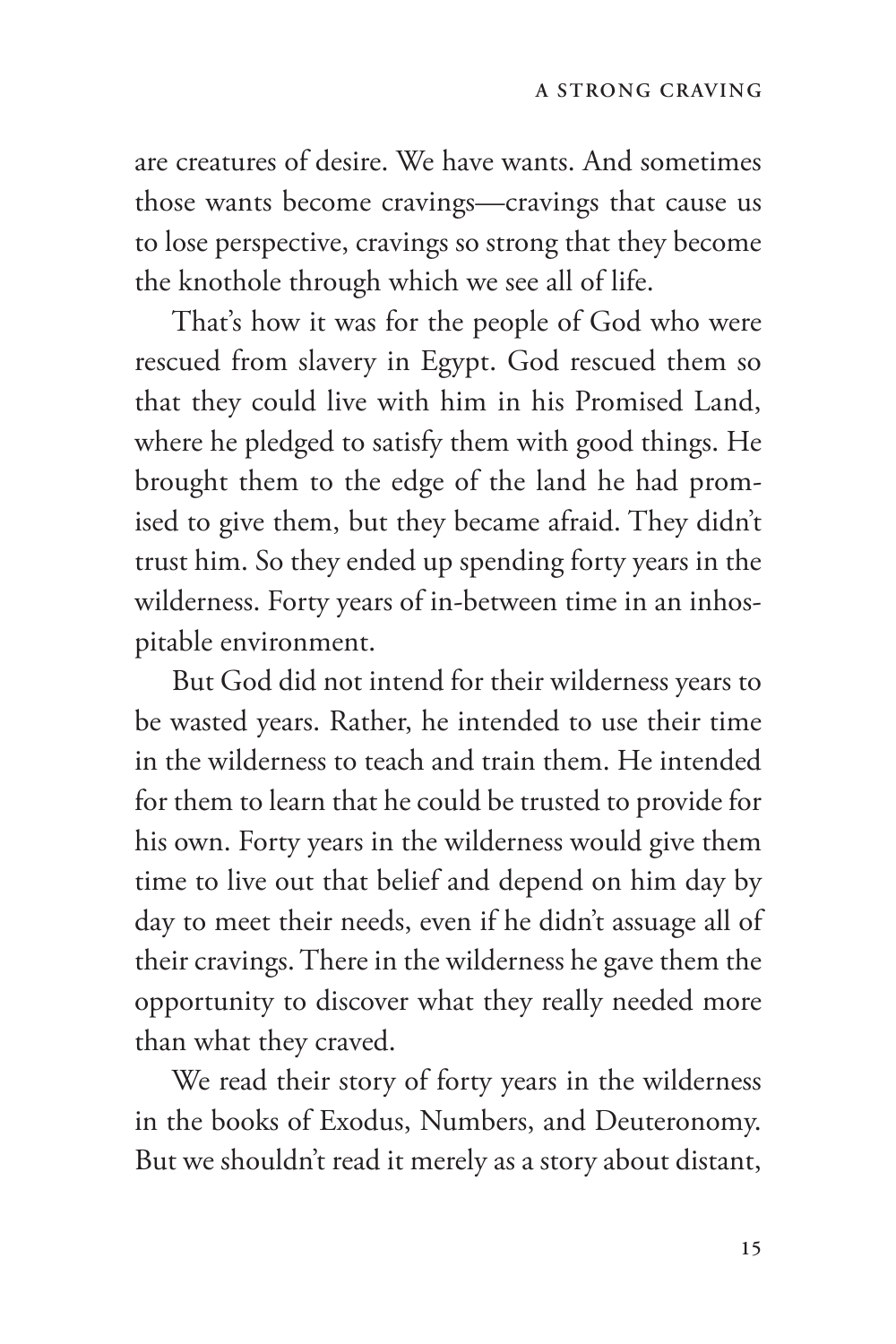are creatures of desire. We have wants. And sometimes those wants become cravings—cravings that cause us to lose perspective, cravings so strong that they become the knothole through which we see all of life.

That's how it was for the people of God who were rescued from slavery in Egypt. God rescued them so that they could live with him in his Promised Land, where he pledged to satisfy them with good things. He brought them to the edge of the land he had promised to give them, but they became afraid. They didn't trust him. So they ended up spending forty years in the wilderness. Forty years of in-between time in an inhospitable environment.

But God did not intend for their wilderness years to be wasted years. Rather, he intended to use their time in the wilderness to teach and train them. He intended for them to learn that he could be trusted to provide for his own. Forty years in the wilderness would give them time to live out that belief and depend on him day by day to meet their needs, even if he didn't assuage all of their cravings. There in the wilderness he gave them the opportunity to discover what they really needed more than what they craved.

We read their story of forty years in the wilderness in the books of Exodus, Numbers, and Deuteronomy. But we shouldn't read it merely as a story about distant,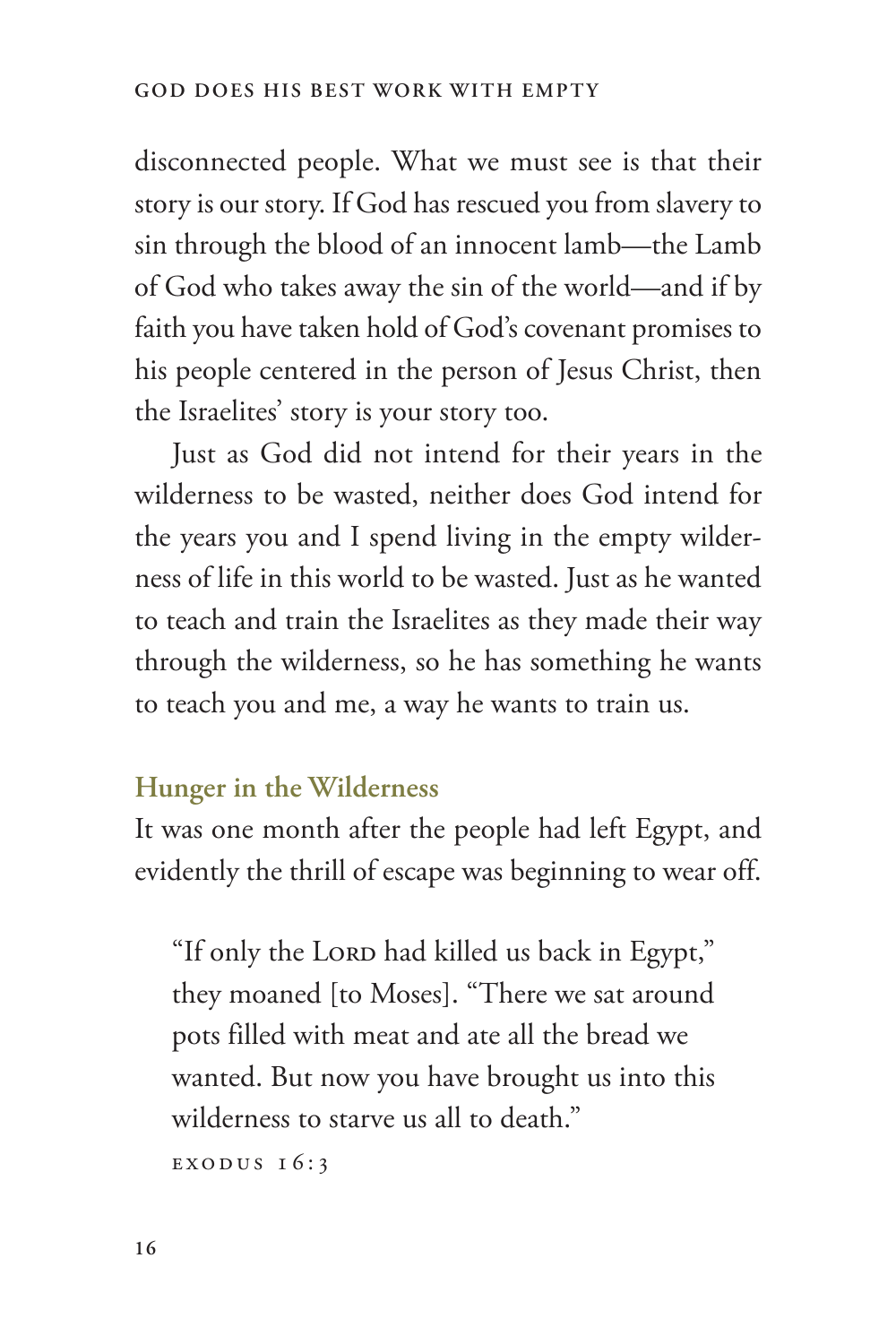disconnected people. What we must see is that their story is our story. If God has rescued you from slavery to sin through the blood of an innocent lamb—the Lamb of God who takes away the sin of the world—and if by faith you have taken hold of God's covenant promises to his people centered in the person of Jesus Christ, then the Israelites' story is your story too.

Just as God did not intend for their years in the wilderness to be wasted, neither does God intend for the years you and I spend living in the empty wilderness of life in this world to be wasted. Just as he wanted to teach and train the Israelites as they made their way through the wilderness, so he has something he wants to teach you and me, a way he wants to train us.

#### **Hunger in the Wilderness**

It was one month after the people had left Egypt, and evidently the thrill of escape was beginning to wear off.

"If only the LORD had killed us back in Egypt," they moaned [to Moses]. "There we sat around pots filled with meat and ate all the bread we wanted. But now you have brought us into this wilderness to starve us all to death."

EXODUS 16:3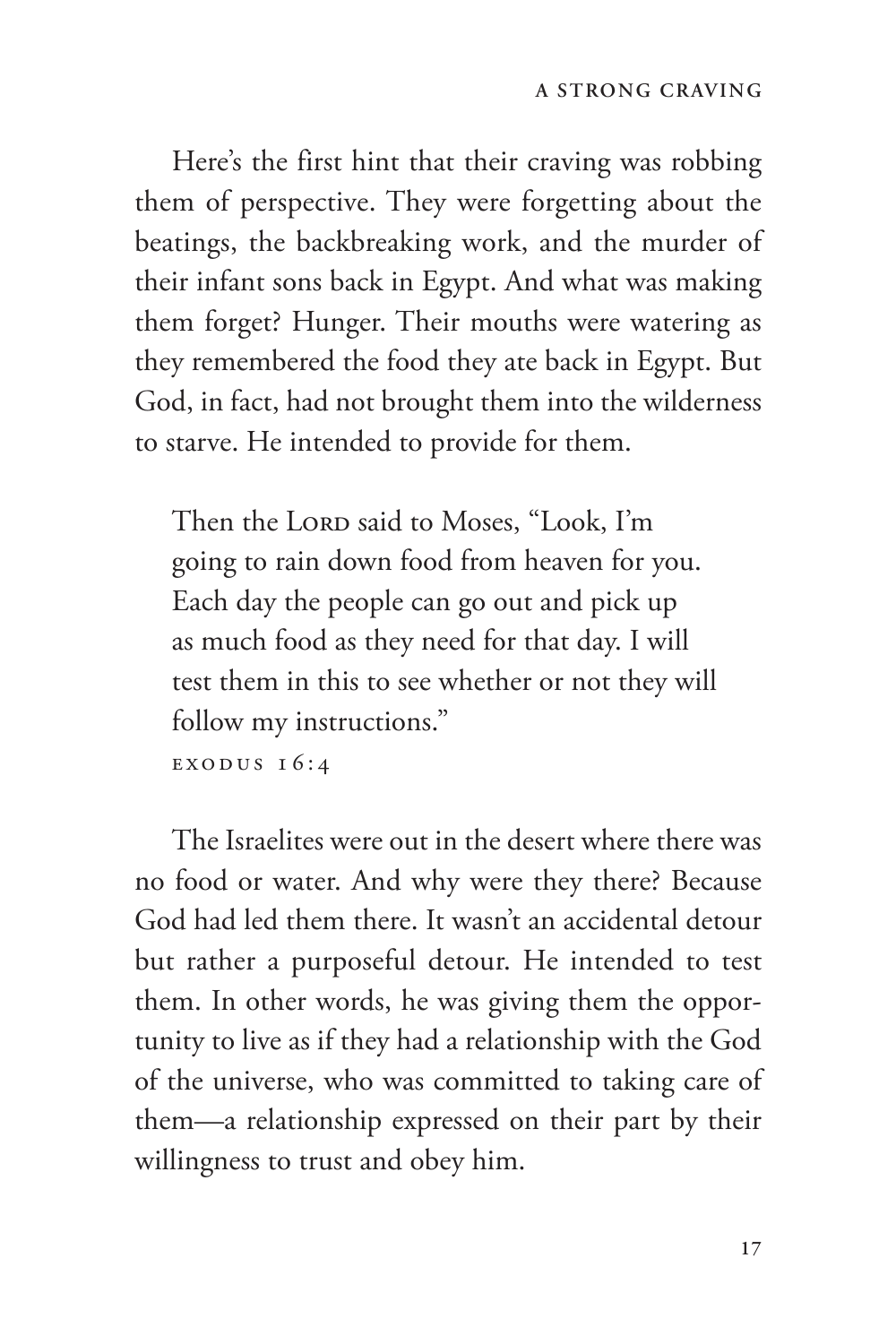Here's the first hint that their craving was robbing them of perspective. They were forgetting about the beatings, the backbreaking work, and the murder of their infant sons back in Egypt. And what was making them forget? Hunger. Their mouths were watering as they remembered the food they ate back in Egypt. But God, in fact, had not brought them into the wilderness to starve. He intended to provide for them.

Then the LORD said to Moses, "Look, I'm going to rain down food from heaven for you. Each day the people can go out and pick up as much food as they need for that day. I will test them in this to see whether or not they will follow my instructions."

EXODUS 16:4

The Israelites were out in the desert where there was no food or water. And why were they there? Because God had led them there. It wasn't an accidental detour but rather a purposeful detour. He intended to test them. In other words, he was giving them the opportunity to live as if they had a relationship with the God of the universe, who was committed to taking care of them—a relationship expressed on their part by their willingness to trust and obey him.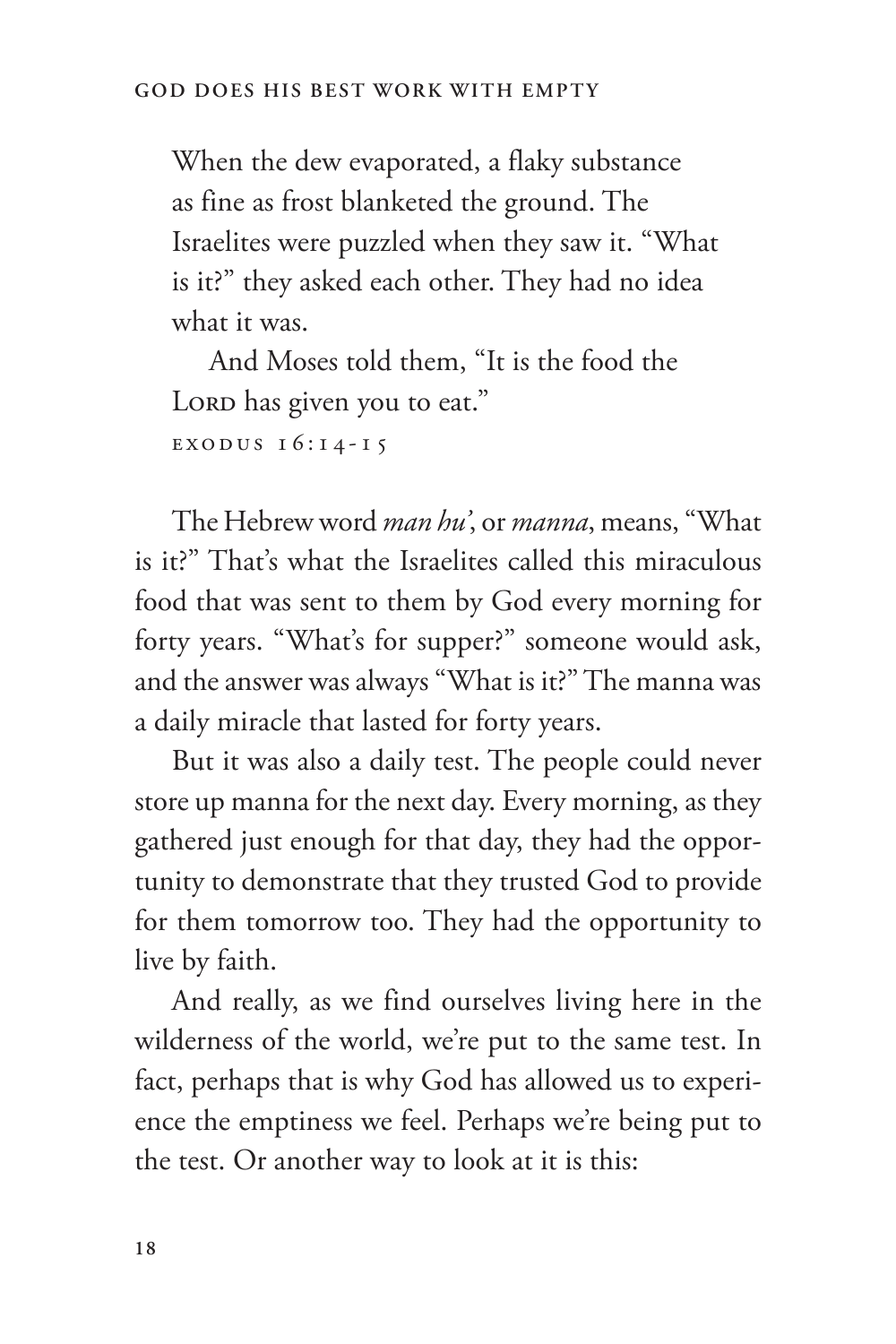When the dew evaporated, a flaky substance as fine as frost blanketed the ground. The Israelites were puzzled when they saw it. "What is it?" they asked each other. They had no idea what it was.

And Moses told them, "It is the food the Loro has given you to eat." EXODUS  $16:14-15$ 

The Hebrew word *man hu'*, or *manna*, means, "What is it?" That's what the Israelites called this miraculous food that was sent to them by God every morning for forty years. "What's for supper?" someone would ask, and the answer was always "What is it?" The manna was a daily miracle that lasted for forty years.

But it was also a daily test. The people could never store up manna for the next day. Every morning, as they gathered just enough for that day, they had the opportunity to demonstrate that they trusted God to provide for them tomorrow too. They had the opportunity to live by faith.

And really, as we find ourselves living here in the wilderness of the world, we're put to the same test. In fact, perhaps that is why God has allowed us to experience the emptiness we feel. Perhaps we're being put to the test. Or another way to look at it is this: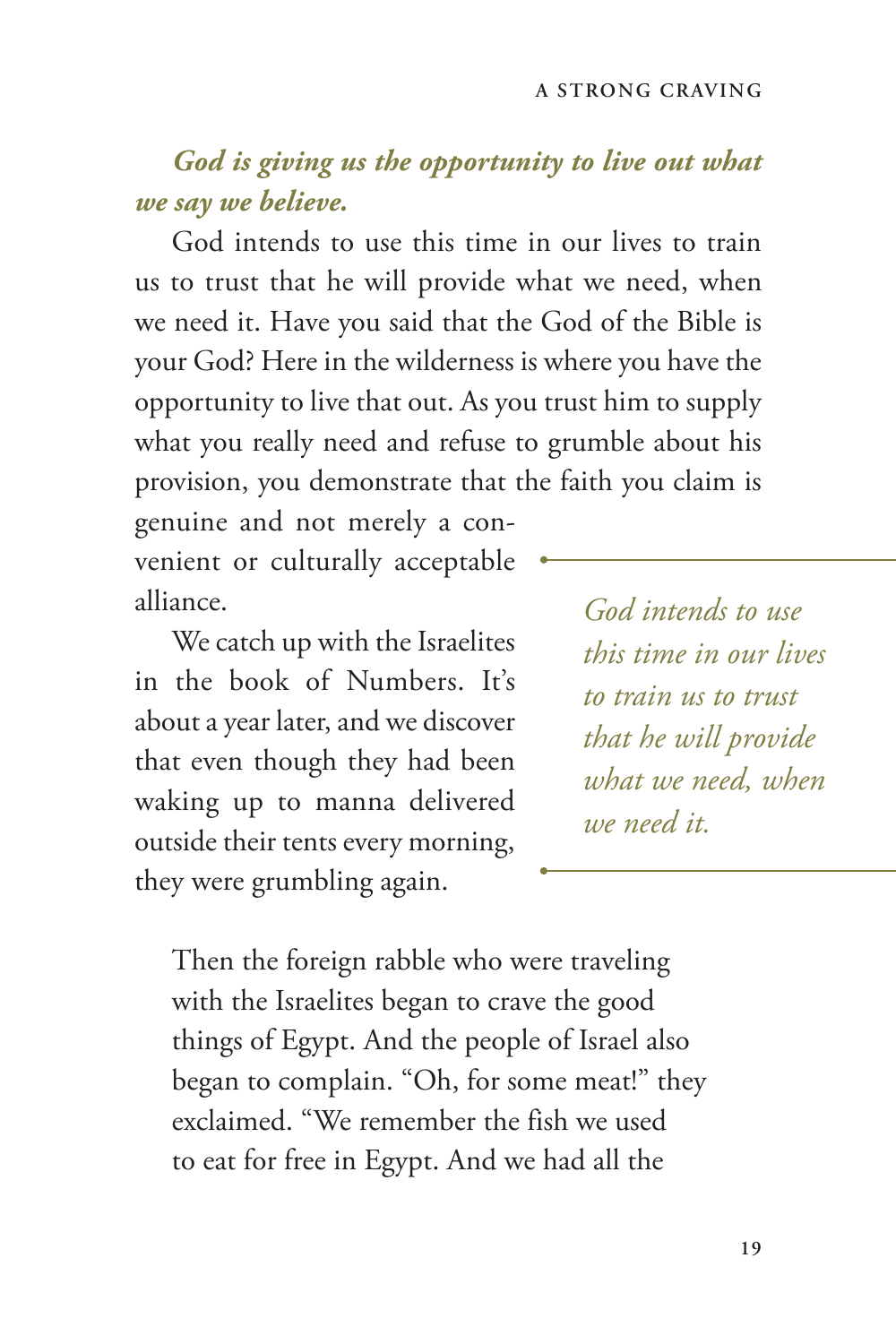#### *God is giving us the opportunity to live out what we say we believe.*

God intends to use this time in our lives to train us to trust that he will provide what we need, when we need it. Have you said that the God of the Bible is your God? Here in the wilderness is where you have the opportunity to live that out. As you trust him to supply what you really need and refuse to grumble about his provision, you demonstrate that the faith you claim is

genuine and not merely a convenient or culturally acceptable alliance.

We catch up with the Israelites in the book of Numbers. It's about a year later, and we discover that even though they had been waking up to manna delivered outside their tents every morning, they were grumbling again.

*God intends to use this time in our lives to train us to trust that he will provide what we need, when we need it.*

Then the foreign rabble who were traveling with the Israelites began to crave the good things of Egypt. And the people of Israel also began to complain. "Oh, for some meat!" they exclaimed. "We remember the fish we used to eat for free in Egypt. And we had all the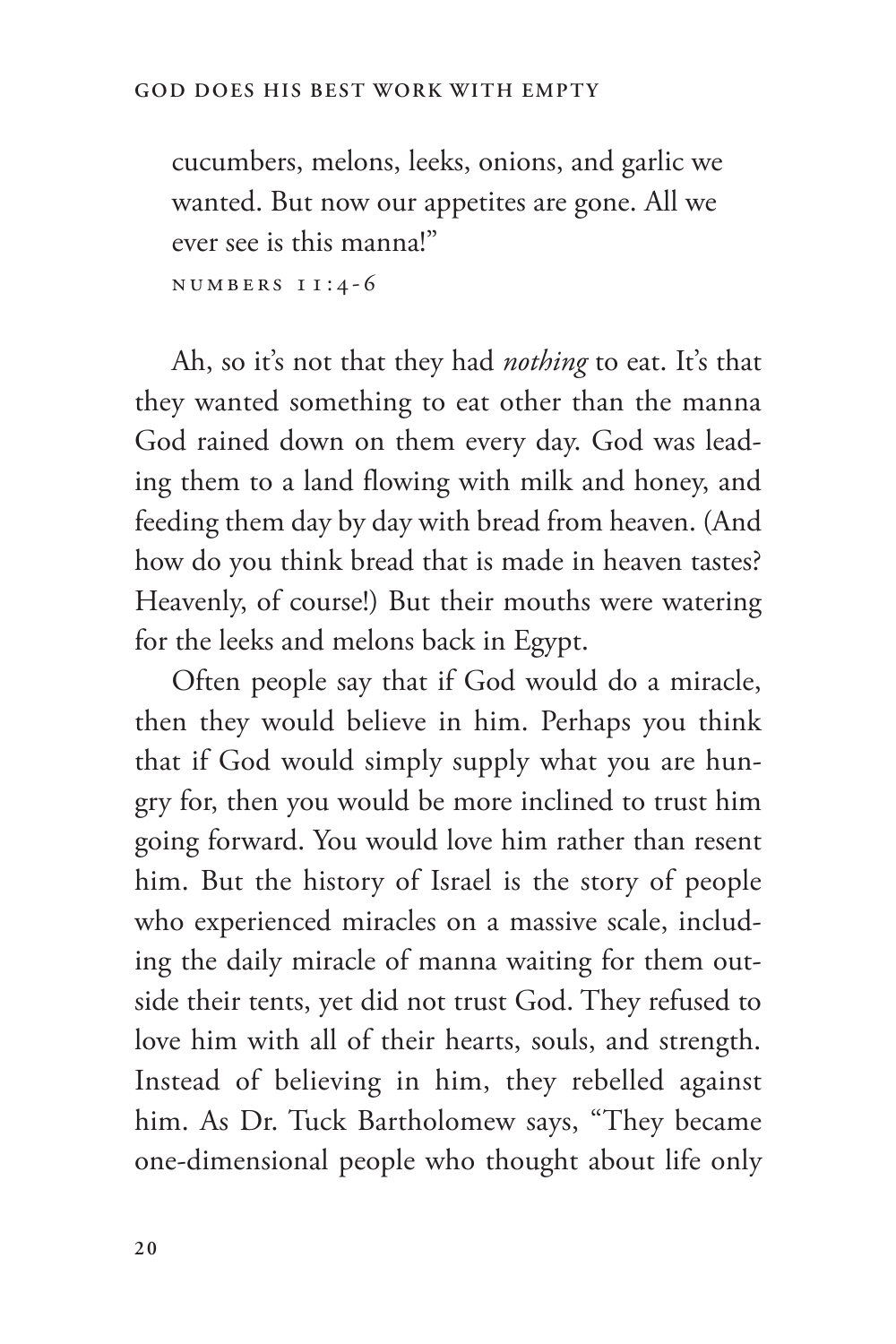cucumbers, melons, leeks, onions, and garlic we wanted. But now our appetites are gone. All we ever see is this manna!"

Numbers 11:4-6

Ah, so it's not that they had *nothing* to eat. It's that they wanted something to eat other than the manna God rained down on them every day. God was leading them to a land flowing with milk and honey, and feeding them day by day with bread from heaven. (And how do you think bread that is made in heaven tastes? Heavenly, of course!) But their mouths were watering for the leeks and melons back in Egypt.

Often people say that if God would do a miracle, then they would believe in him. Perhaps you think that if God would simply supply what you are hungry for, then you would be more inclined to trust him going forward. You would love him rather than resent him. But the history of Israel is the story of people who experienced miracles on a massive scale, including the daily miracle of manna waiting for them outside their tents, yet did not trust God. They refused to love him with all of their hearts, souls, and strength. Instead of believing in him, they rebelled against him. As Dr. Tuck Bartholomew says, "They became one-dimensional people who thought about life only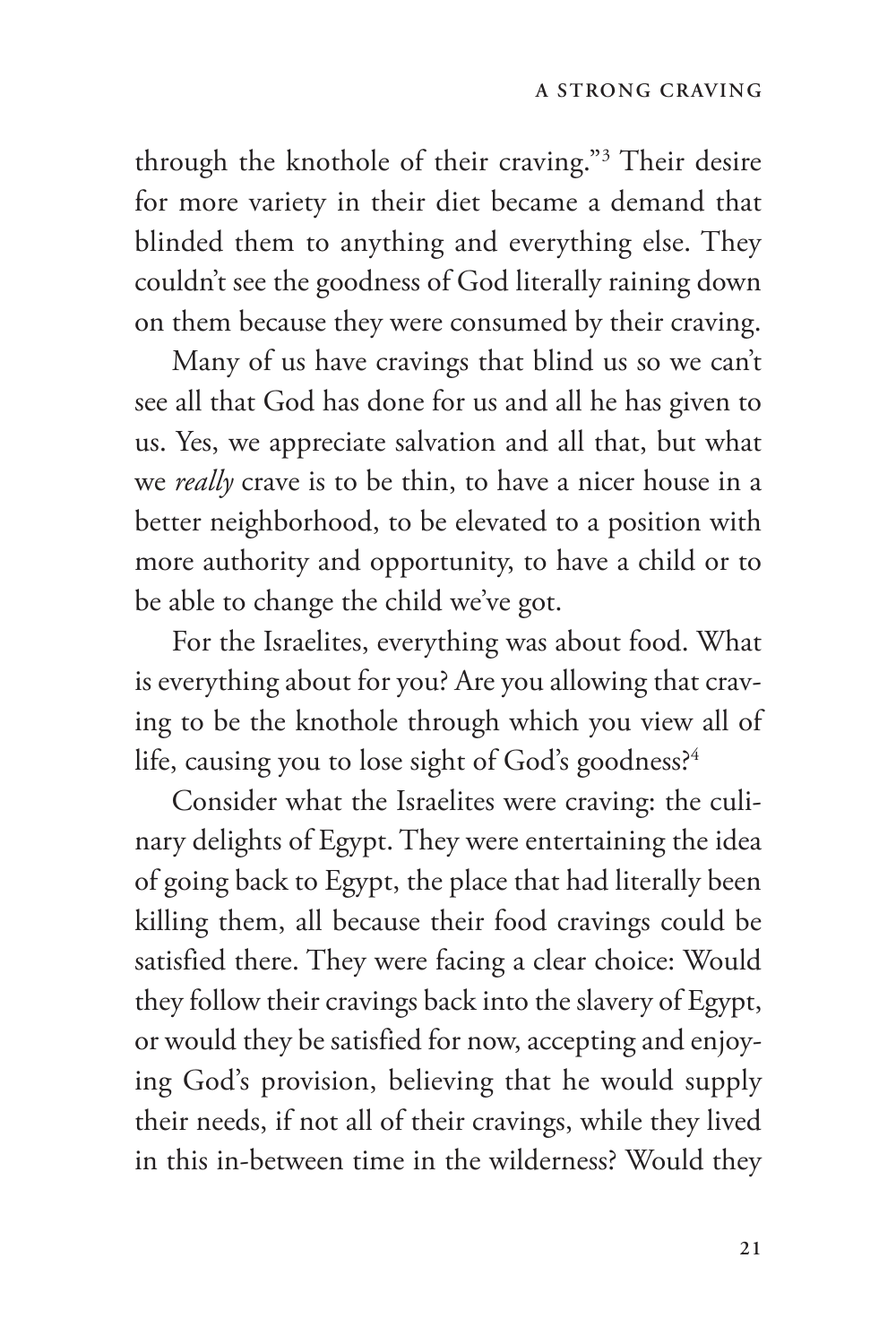through the knothole of their craving."3 Their desire for more variety in their diet became a demand that blinded them to anything and everything else. They couldn't see the goodness of God literally raining down on them because they were consumed by their craving.

Many of us have cravings that blind us so we can't see all that God has done for us and all he has given to us. Yes, we appreciate salvation and all that, but what we *really* crave is to be thin, to have a nicer house in a better neighborhood, to be elevated to a position with more authority and opportunity, to have a child or to be able to change the child we've got.

For the Israelites, everything was about food. What is everything about for you? Are you allowing that craving to be the knothole through which you view all of life, causing you to lose sight of God's goodness?<sup>4</sup>

Consider what the Israelites were craving: the culinary delights of Egypt. They were entertaining the idea of going back to Egypt, the place that had literally been killing them, all because their food cravings could be satisfied there. They were facing a clear choice: Would they follow their cravings back into the slavery of Egypt, or would they be satisfied for now, accepting and enjoying God's provision, believing that he would supply their needs, if not all of their cravings, while they lived in this in-between time in the wilderness? Would they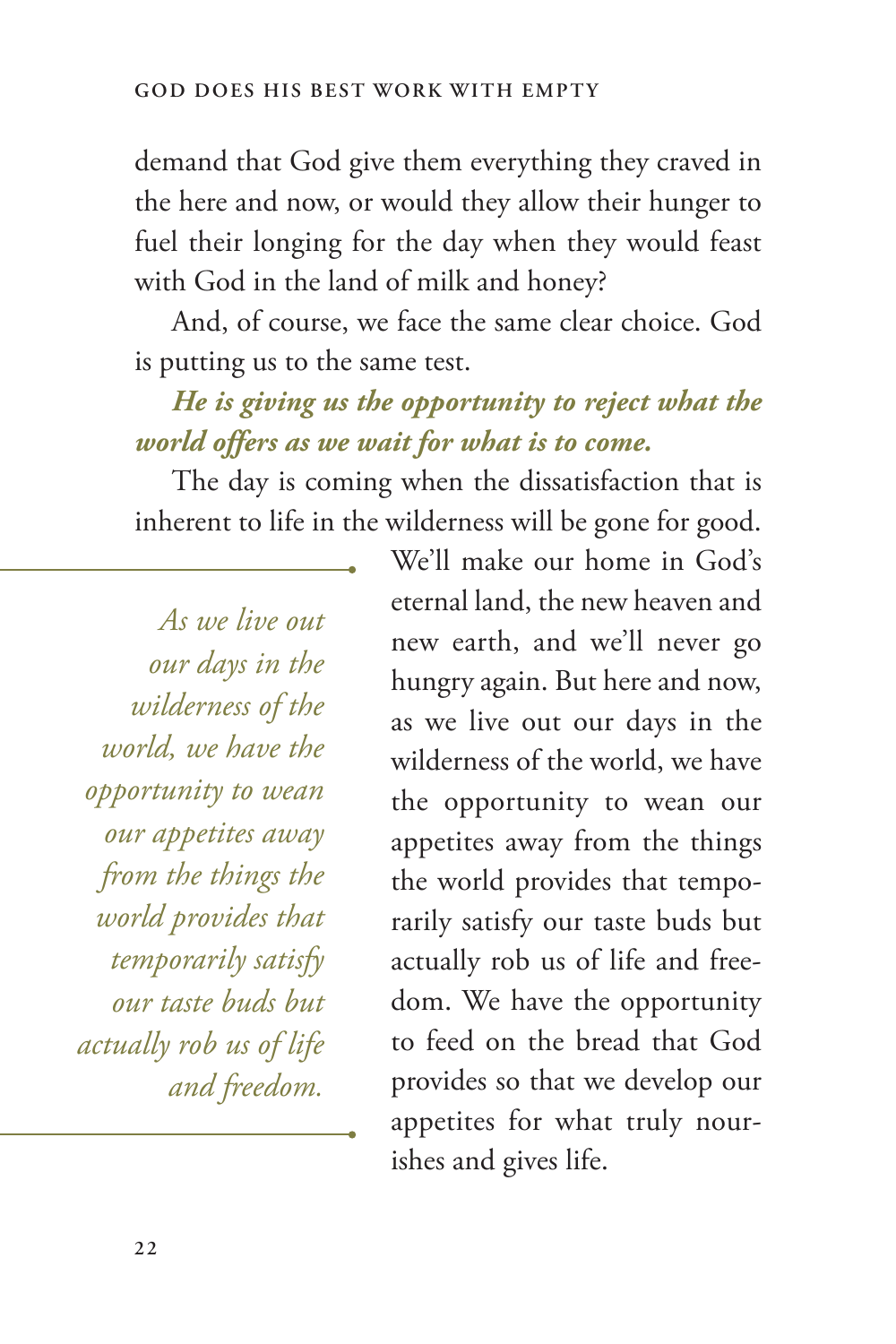demand that God give them everything they craved in the here and now, or would they allow their hunger to fuel their longing for the day when they would feast with God in the land of milk and honey?

And, of course, we face the same clear choice. God is putting us to the same test.

#### *He is giving us the opportunity to reject what the world offers as we wait for what is to come.*

The day is coming when the dissatisfaction that is inherent to life in the wilderness will be gone for good.

*As we live out our days in the wilderness of the world, we have the opportunity to wean our appetites away from the things the world provides that temporarily satisfy our taste buds but actually rob us of life and freedom.*

We'll make our home in God's eternal land, the new heaven and new earth, and we'll never go hungry again. But here and now, as we live out our days in the wilderness of the world, we have the opportunity to wean our appetites away from the things the world provides that temporarily satisfy our taste buds but actually rob us of life and freedom. We have the opportunity to feed on the bread that God provides so that we develop our appetites for what truly nourishes and gives life.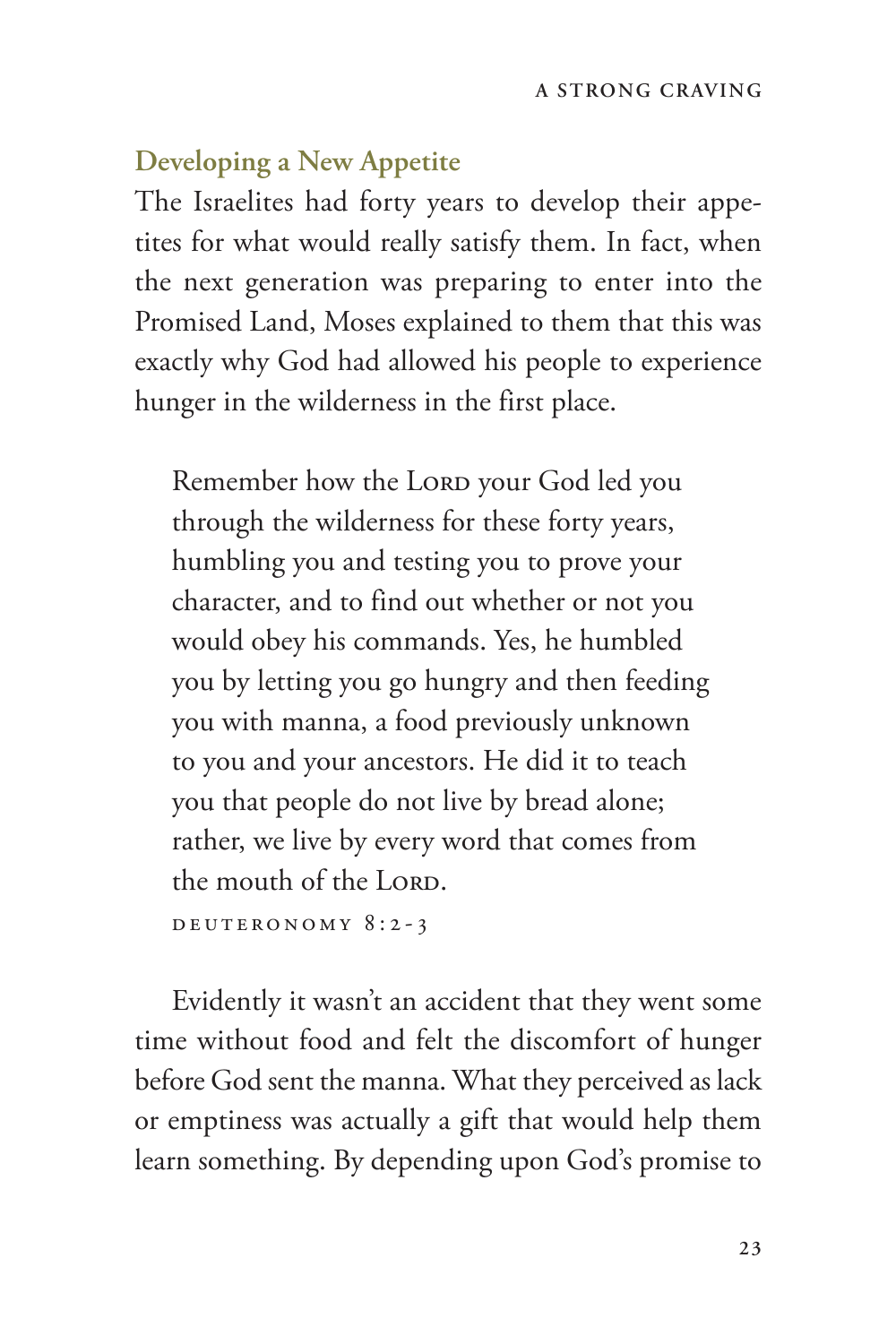#### **Developing a New Appetite**

The Israelites had forty years to develop their appetites for what would really satisfy them. In fact, when the next generation was preparing to enter into the Promised Land, Moses explained to them that this was exactly why God had allowed his people to experience hunger in the wilderness in the first place.

Remember how the LORD your God led you through the wilderness for these forty years, humbling you and testing you to prove your character, and to find out whether or not you would obey his commands. Yes, he humbled you by letting you go hungry and then feeding you with manna, a food previously unknown to you and your ancestors. He did it to teach you that people do not live by bread alone; rather, we live by every word that comes from the mouth of the LORD. Deuteronomy 8:2-3

Evidently it wasn't an accident that they went some time without food and felt the discomfort of hunger before God sent the manna. What they perceived as lack or emptiness was actually a gift that would help them learn something. By depending upon God's promise to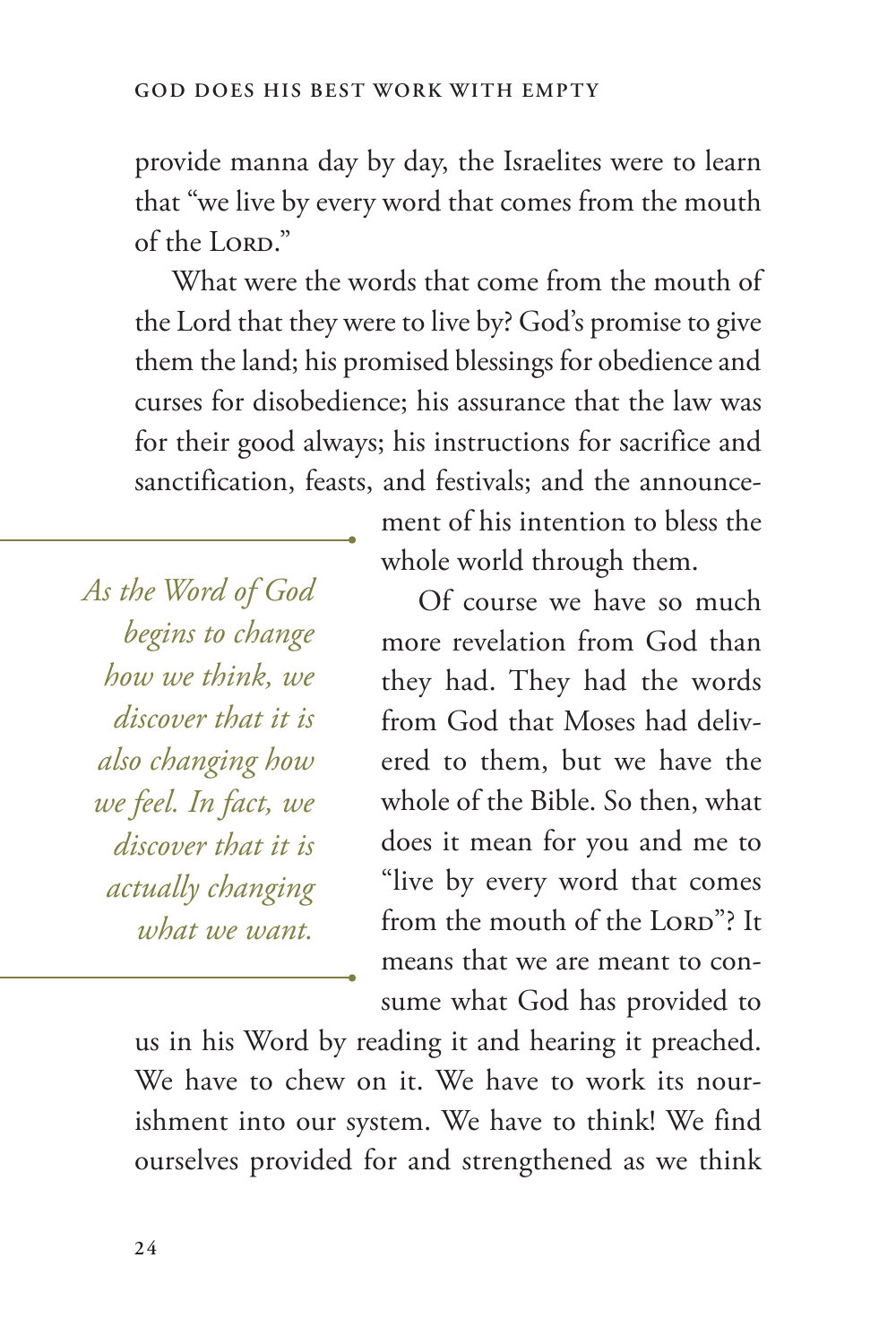provide manna day by day, the Israelites were to learn that "we live by every word that comes from the mouth of the LORD."

What were the words that come from the mouth of the Lord that they were to live by? God's promise to give them the land; his promised blessings for obedience and curses for disobedience; his assurance that the law was for their good always; his instructions for sacrifice and sanctification, feasts, and festivals; and the announce-

*As the Word of God begins to change how we think, we discover that it is also changing how we feel. In fact, we discover that it is actually changing what we want.*

ment of his intention to bless the whole world through them.

Of course we have so much more revelation from God than they had. They had the words from God that Moses had delivered to them, but we have the whole of the Bible. So then, what does it mean for you and me to "live by every word that comes from the mouth of the LORD"? It means that we are meant to consume what God has provided to

us in his Word by reading it and hearing it preached. We have to chew on it. We have to work its nourishment into our system. We have to think! We find ourselves provided for and strengthened as we think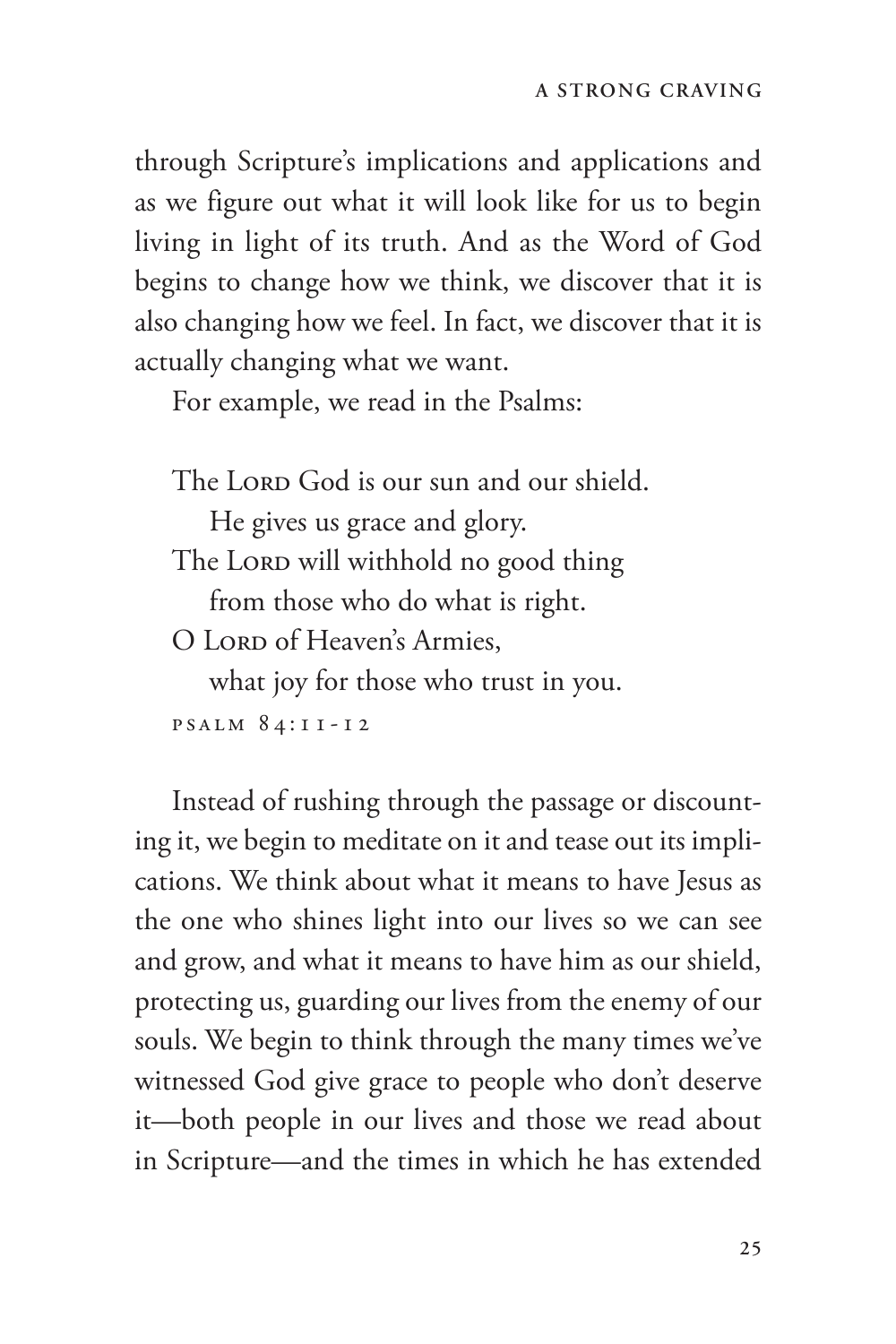through Scripture's implications and applications and as we figure out what it will look like for us to begin living in light of its truth. And as the Word of God begins to change how we think, we discover that it is also changing how we feel. In fact, we discover that it is actually changing what we want.

For example, we read in the Psalms:

The LORD God is our sun and our shield.

He gives us grace and glory. The LORD will withhold no good thing from those who do what is right.

O LORD of Heaven's Armies.

what joy for those who trust in you. Psalm 84:11-12

Instead of rushing through the passage or discounting it, we begin to meditate on it and tease out its implications. We think about what it means to have Jesus as the one who shines light into our lives so we can see and grow, and what it means to have him as our shield, protecting us, guarding our lives from the enemy of our souls. We begin to think through the many times we've witnessed God give grace to people who don't deserve it—both people in our lives and those we read about in Scripture—and the times in which he has extended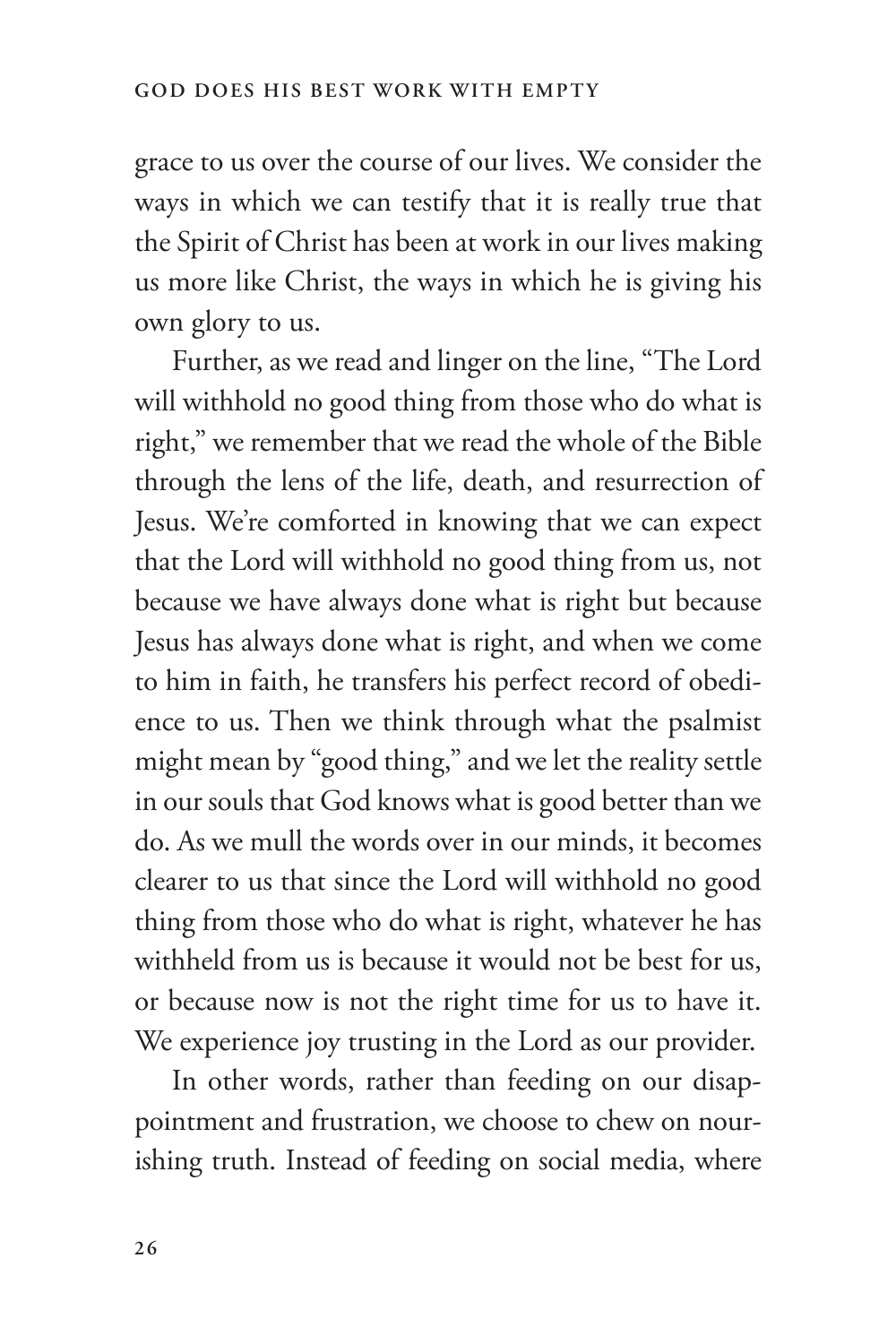grace to us over the course of our lives. We consider the ways in which we can testify that it is really true that the Spirit of Christ has been at work in our lives making us more like Christ, the ways in which he is giving his own glory to us.

Further, as we read and linger on the line, "The Lord will withhold no good thing from those who do what is right," we remember that we read the whole of the Bible through the lens of the life, death, and resurrection of Jesus. We're comforted in knowing that we can expect that the Lord will withhold no good thing from us, not because we have always done what is right but because Jesus has always done what is right, and when we come to him in faith, he transfers his perfect record of obedience to us. Then we think through what the psalmist might mean by "good thing," and we let the reality settle in our souls that God knows what is good better than we do. As we mull the words over in our minds, it becomes clearer to us that since the Lord will withhold no good thing from those who do what is right, whatever he has withheld from us is because it would not be best for us, or because now is not the right time for us to have it. We experience joy trusting in the Lord as our provider.

In other words, rather than feeding on our disappointment and frustration, we choose to chew on nourishing truth. Instead of feeding on social media, where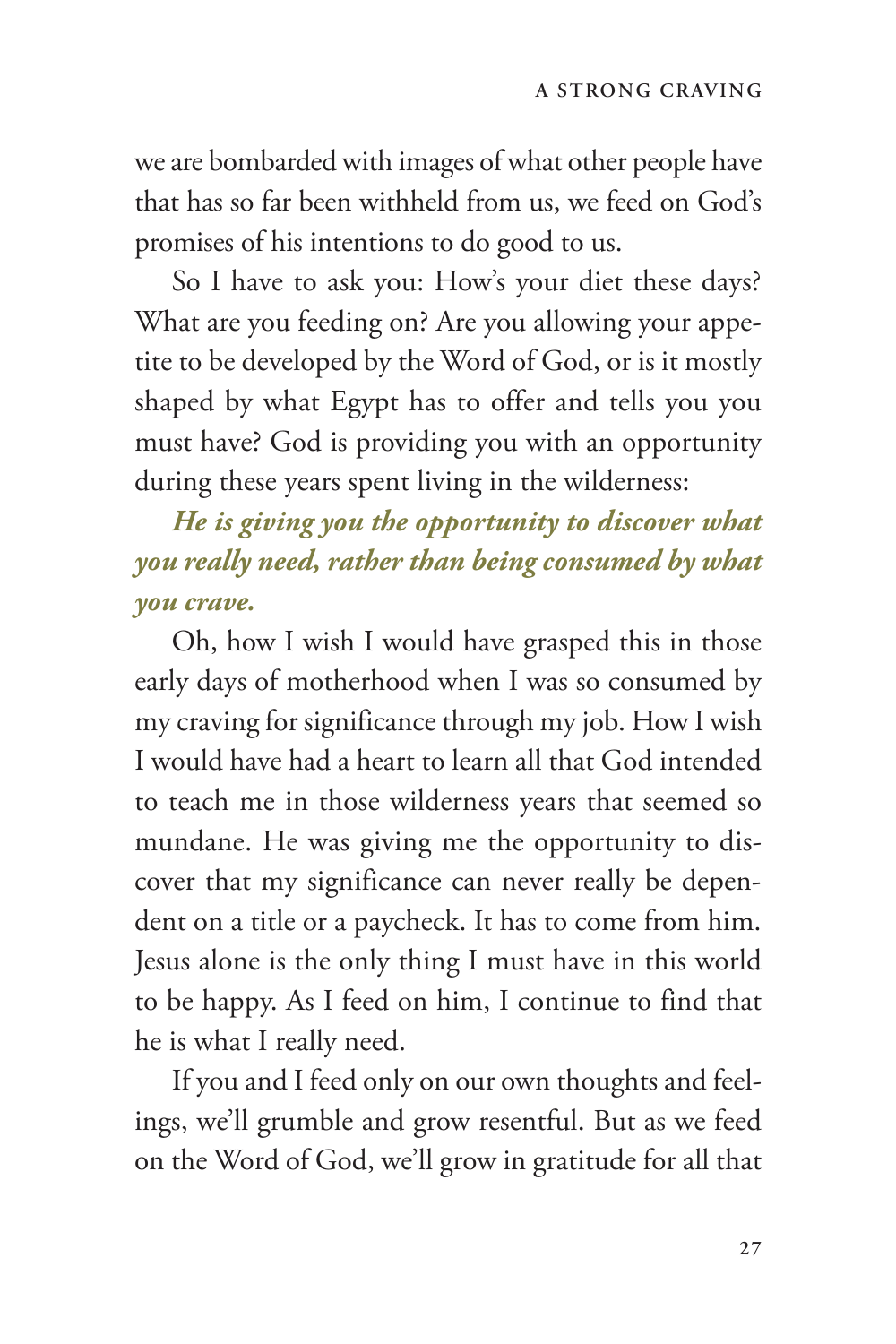we are bombarded with images of what other people have that has so far been withheld from us, we feed on God's promises of his intentions to do good to us.

So I have to ask you: How's your diet these days? What are you feeding on? Are you allowing your appetite to be developed by the Word of God, or is it mostly shaped by what Egypt has to offer and tells you you must have? God is providing you with an opportunity during these years spent living in the wilderness:

*He is giving you the opportunity to discover what you really need, rather than being consumed by what you crave.*

Oh, how I wish I would have grasped this in those early days of motherhood when I was so consumed by my craving for significance through my job. How I wish I would have had a heart to learn all that God intended to teach me in those wilderness years that seemed so mundane. He was giving me the opportunity to discover that my significance can never really be dependent on a title or a paycheck. It has to come from him. Jesus alone is the only thing I must have in this world to be happy. As I feed on him, I continue to find that he is what I really need.

If you and I feed only on our own thoughts and feelings, we'll grumble and grow resentful. But as we feed on the Word of God, we'll grow in gratitude for all that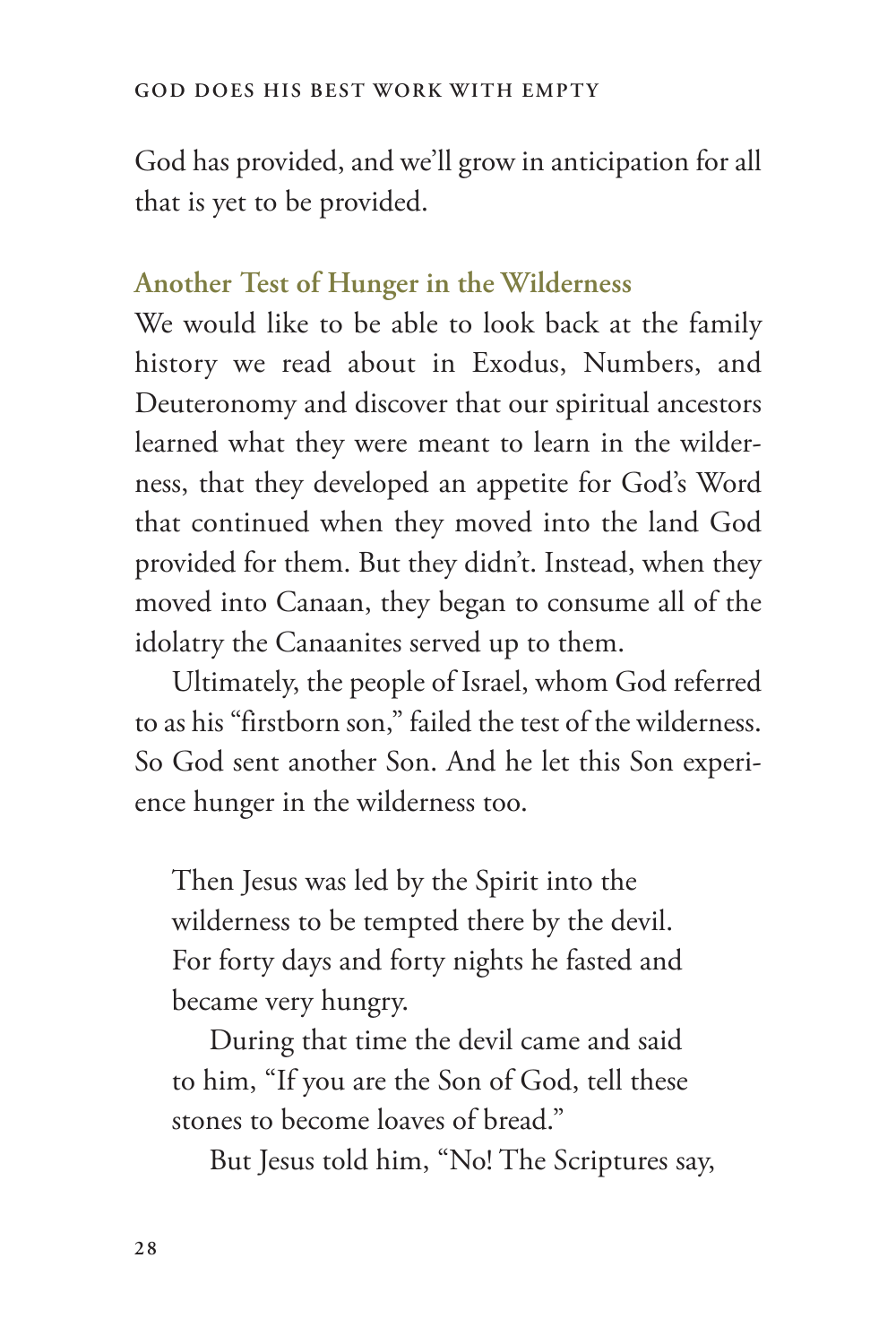God has provided, and we'll grow in anticipation for all that is yet to be provided.

#### **Another Test of Hunger in the Wilderness**

We would like to be able to look back at the family history we read about in Exodus, Numbers, and Deuteronomy and discover that our spiritual ancestors learned what they were meant to learn in the wilderness, that they developed an appetite for God's Word that continued when they moved into the land God provided for them. But they didn't. Instead, when they moved into Canaan, they began to consume all of the idolatry the Canaanites served up to them.

Ultimately, the people of Israel, whom God referred to as his "firstborn son," failed the test of the wilderness. So God sent another Son. And he let this Son experience hunger in the wilderness too.

Then Jesus was led by the Spirit into the wilderness to be tempted there by the devil. For forty days and forty nights he fasted and became very hungry.

During that time the devil came and said to him, "If you are the Son of God, tell these stones to become loaves of bread."

But Jesus told him, "No! The Scriptures say,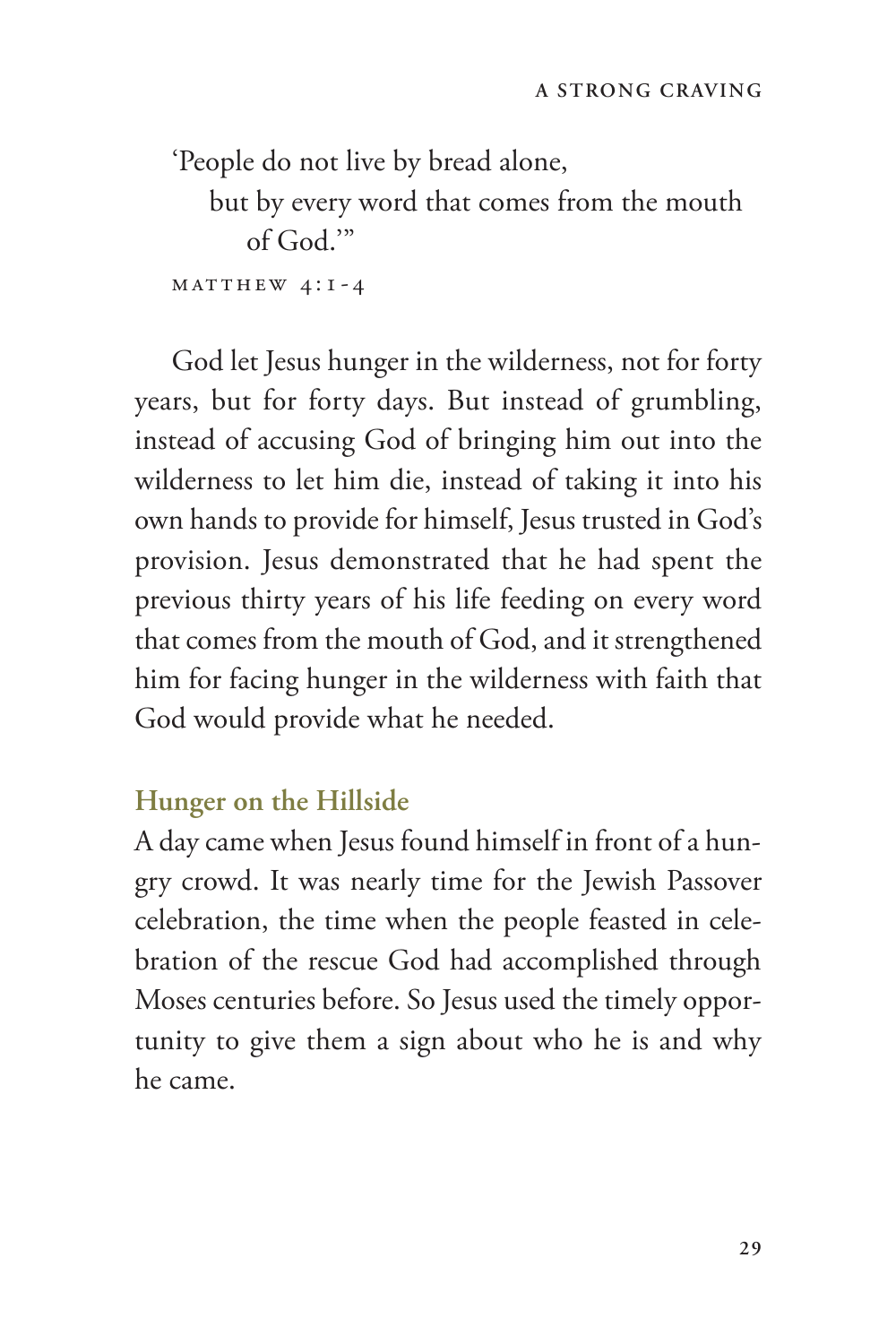'People do not live by bread alone,

but by every word that comes from the mouth of God.'"

 $MATTHEW 4:1-4$ 

God let Jesus hunger in the wilderness, not for forty years, but for forty days. But instead of grumbling, instead of accusing God of bringing him out into the wilderness to let him die, instead of taking it into his own hands to provide for himself, Jesus trusted in God's provision. Jesus demonstrated that he had spent the previous thirty years of his life feeding on every word that comes from the mouth of God, and it strengthened him for facing hunger in the wilderness with faith that God would provide what he needed.

#### **Hunger on the Hillside**

A day came when Jesus found himself in front of a hungry crowd. It was nearly time for the Jewish Passover celebration, the time when the people feasted in celebration of the rescue God had accomplished through Moses centuries before. So Jesus used the timely opportunity to give them a sign about who he is and why he came.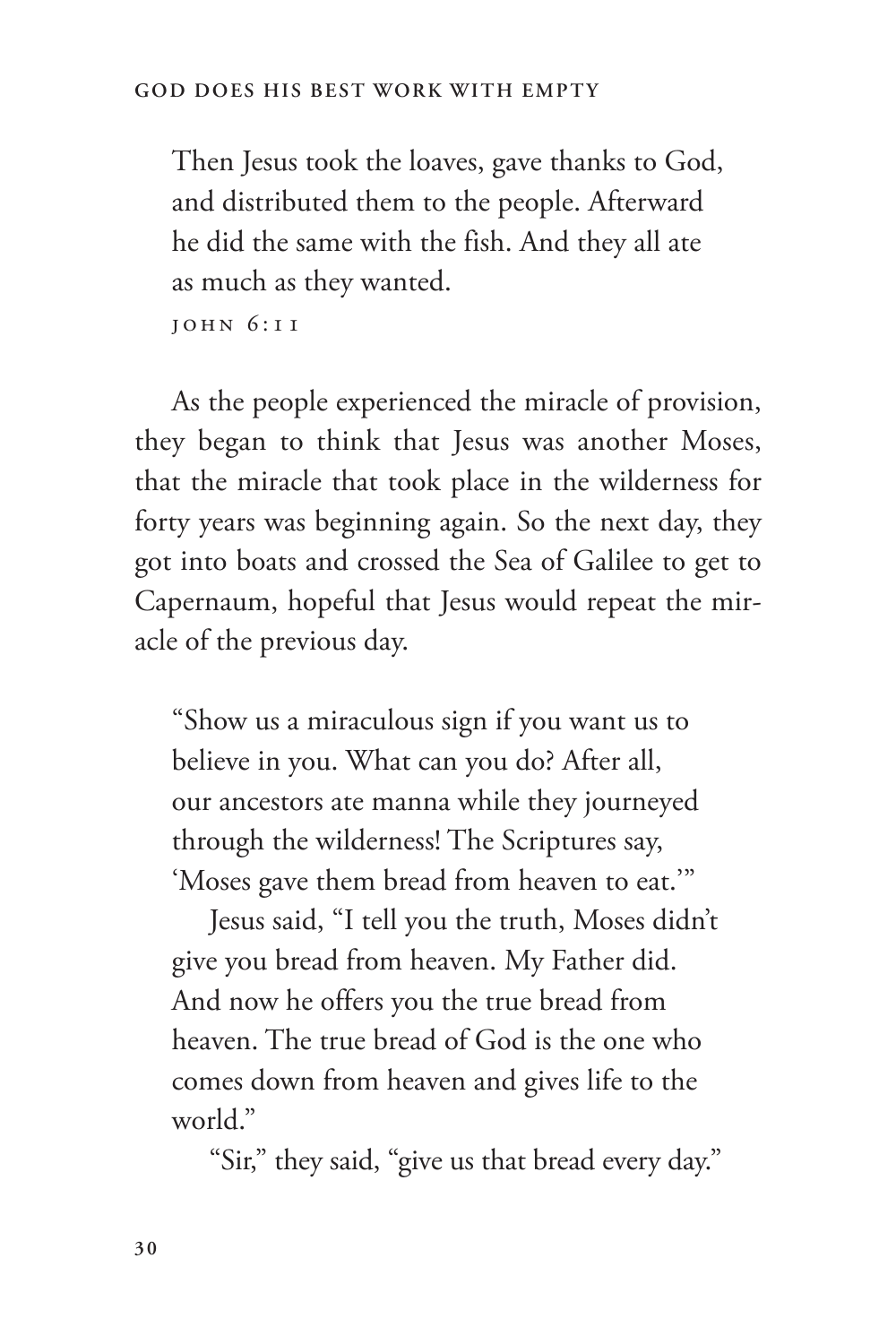Then Jesus took the loaves, gave thanks to God, and distributed them to the people. Afterward he did the same with the fish. And they all ate as much as they wanted.

John 6:11

As the people experienced the miracle of provision, they began to think that Jesus was another Moses, that the miracle that took place in the wilderness for forty years was beginning again. So the next day, they got into boats and crossed the Sea of Galilee to get to Capernaum, hopeful that Jesus would repeat the miracle of the previous day.

"Show us a miraculous sign if you want us to believe in you. What can you do? After all, our ancestors ate manna while they journeyed through the wilderness! The Scriptures say, 'Moses gave them bread from heaven to eat.'"

Jesus said, "I tell you the truth, Moses didn't give you bread from heaven. My Father did. And now he offers you the true bread from heaven. The true bread of God is the one who comes down from heaven and gives life to the world."

"Sir," they said, "give us that bread every day."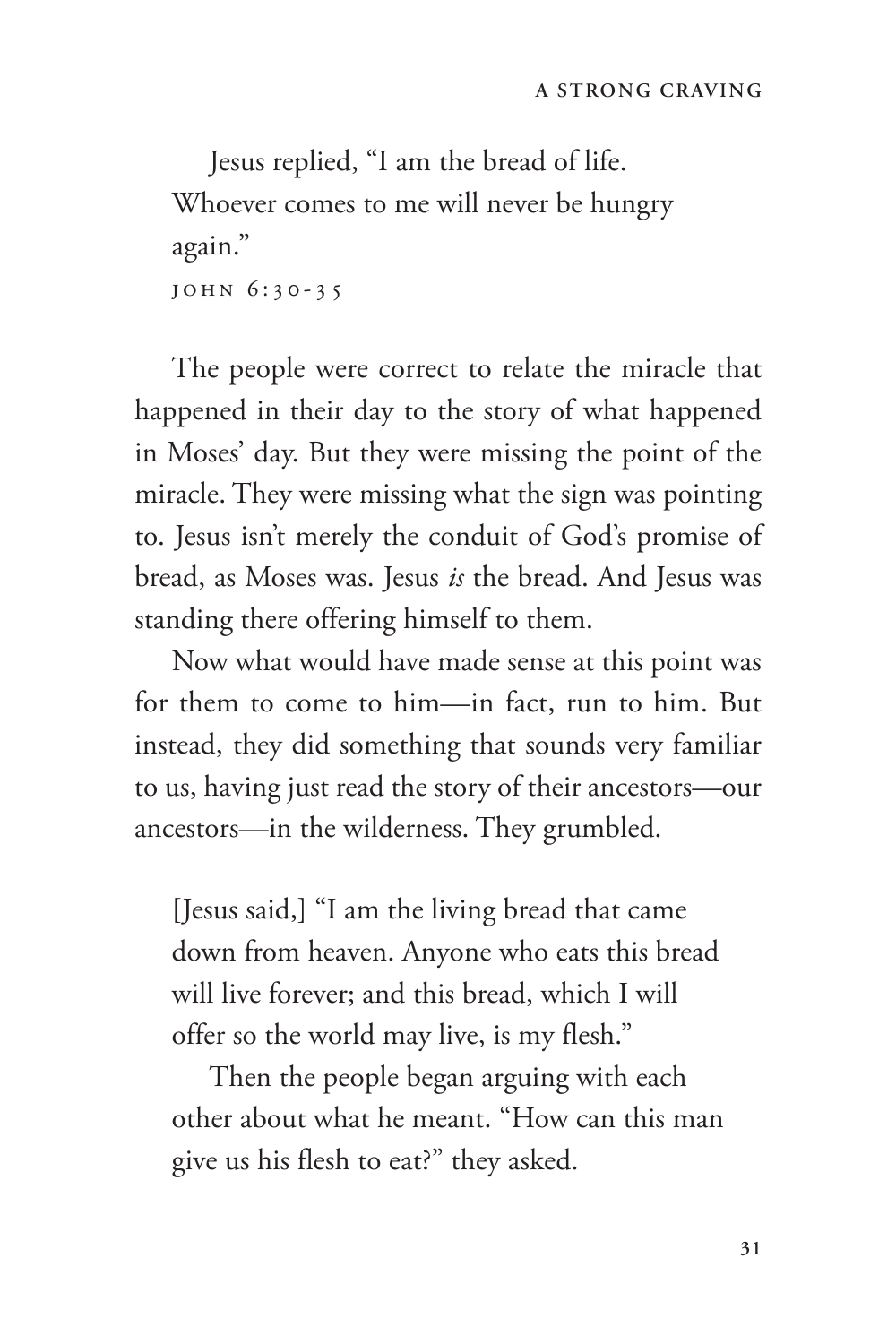Jesus replied, "I am the bread of life. Whoever comes to me will never be hungry again." John 6:30-35

The people were correct to relate the miracle that happened in their day to the story of what happened in Moses' day. But they were missing the point of the miracle. They were missing what the sign was pointing to. Jesus isn't merely the conduit of God's promise of bread, as Moses was. Jesus *is* the bread. And Jesus was standing there offering himself to them.

Now what would have made sense at this point was for them to come to him—in fact, run to him. But instead, they did something that sounds very familiar to us, having just read the story of their ancestors—our ancestors—in the wilderness. They grumbled.

[Jesus said,] "I am the living bread that came down from heaven. Anyone who eats this bread will live forever; and this bread, which I will offer so the world may live, is my flesh."

Then the people began arguing with each other about what he meant. "How can this man give us his flesh to eat?" they asked.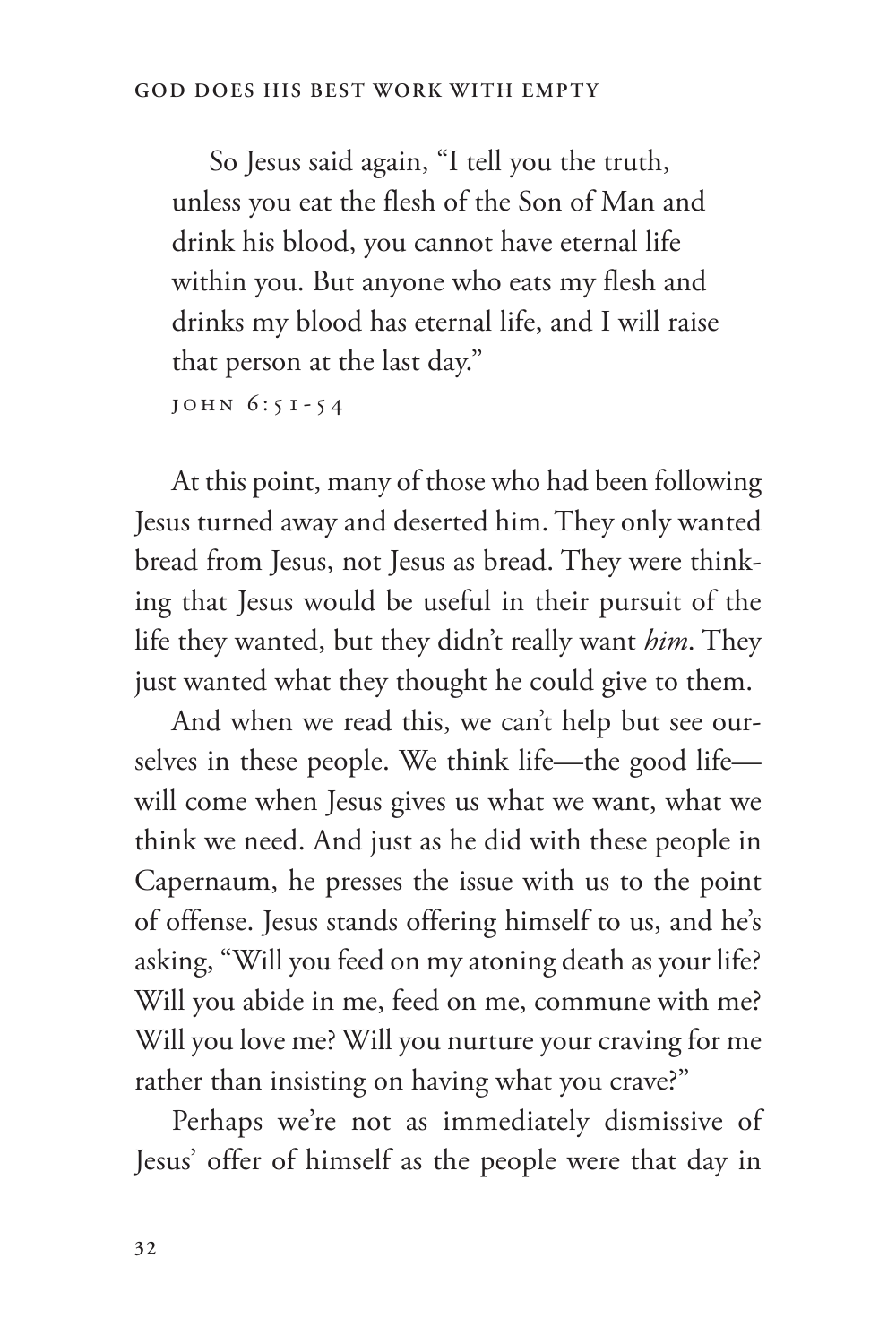So Jesus said again, "I tell you the truth, unless you eat the flesh of the Son of Man and drink his blood, you cannot have eternal life within you. But anyone who eats my flesh and drinks my blood has eternal life, and I will raise that person at the last day."

John 6:51-54

At this point, many of those who had been following Jesus turned away and deserted him. They only wanted bread from Jesus, not Jesus as bread. They were thinking that Jesus would be useful in their pursuit of the life they wanted, but they didn't really want *him*. They just wanted what they thought he could give to them.

And when we read this, we can't help but see ourselves in these people. We think life—the good life will come when Jesus gives us what we want, what we think we need. And just as he did with these people in Capernaum, he presses the issue with us to the point of offense. Jesus stands offering himself to us, and he's asking, "Will you feed on my atoning death as your life? Will you abide in me, feed on me, commune with me? Will you love me? Will you nurture your craving for me rather than insisting on having what you crave?"

Perhaps we're not as immediately dismissive of Jesus' offer of himself as the people were that day in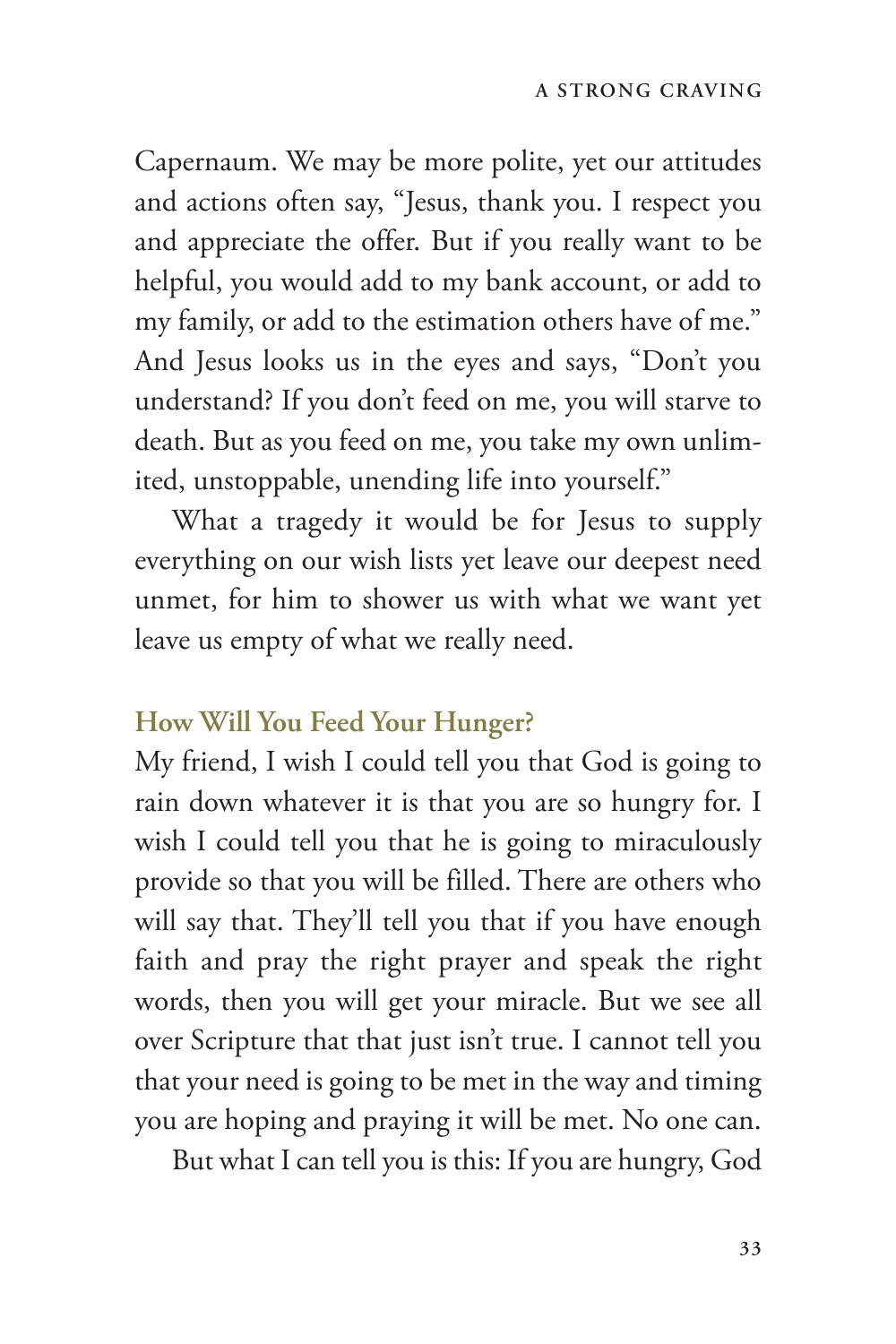Capernaum. We may be more polite, yet our attitudes and actions often say, "Jesus, thank you. I respect you and appreciate the offer. But if you really want to be helpful, you would add to my bank account, or add to my family, or add to the estimation others have of me." And Jesus looks us in the eyes and says, "Don't you understand? If you don't feed on me, you will starve to death. But as you feed on me, you take my own unlimited, unstoppable, unending life into yourself."

What a tragedy it would be for Jesus to supply everything on our wish lists yet leave our deepest need unmet, for him to shower us with what we want yet leave us empty of what we really need.

#### **How Will You Feed Your Hunger?**

My friend, I wish I could tell you that God is going to rain down whatever it is that you are so hungry for. I wish I could tell you that he is going to miraculously provide so that you will be filled. There are others who will say that. They'll tell you that if you have enough faith and pray the right prayer and speak the right words, then you will get your miracle. But we see all over Scripture that that just isn't true. I cannot tell you that your need is going to be met in the way and timing you are hoping and praying it will be met. No one can.

But what I can tell you is this: If you are hungry, God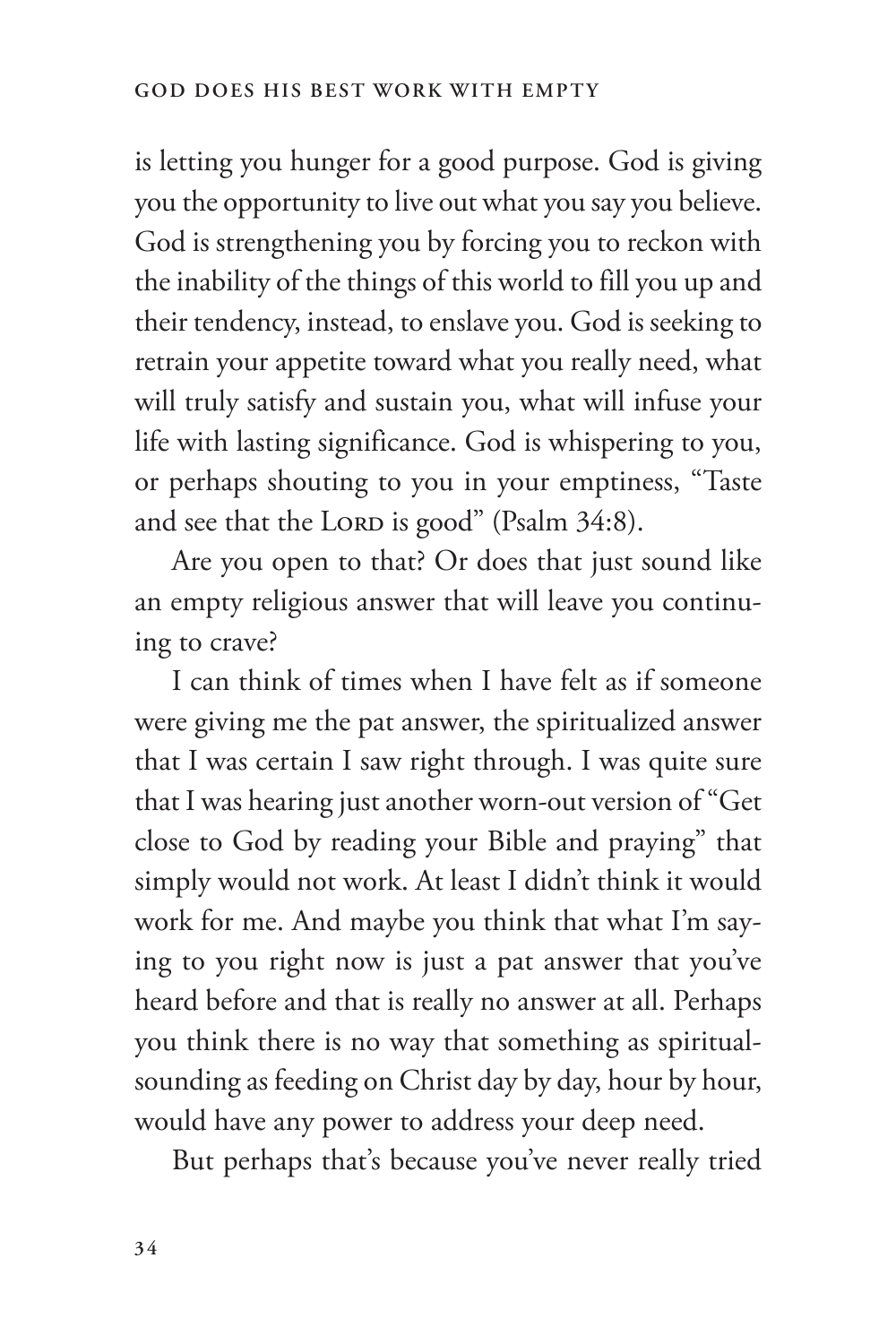is letting you hunger for a good purpose. God is giving you the opportunity to live out what you say you believe. God is strengthening you by forcing you to reckon with the inability of the things of this world to fill you up and their tendency, instead, to enslave you. God is seeking to retrain your appetite toward what you really need, what will truly satisfy and sustain you, what will infuse your life with lasting significance. God is whispering to you, or perhaps shouting to you in your emptiness, "Taste and see that the LORD is good" (Psalm 34:8).

Are you open to that? Or does that just sound like an empty religious answer that will leave you continuing to crave?

I can think of times when I have felt as if someone were giving me the pat answer, the spiritualized answer that I was certain I saw right through. I was quite sure that I was hearing just another worn-out version of "Get close to God by reading your Bible and praying" that simply would not work. At least I didn't think it would work for me. And maybe you think that what I'm saying to you right now is just a pat answer that you've heard before and that is really no answer at all. Perhaps you think there is no way that something as spiritualsounding as feeding on Christ day by day, hour by hour, would have any power to address your deep need.

But perhaps that's because you've never really tried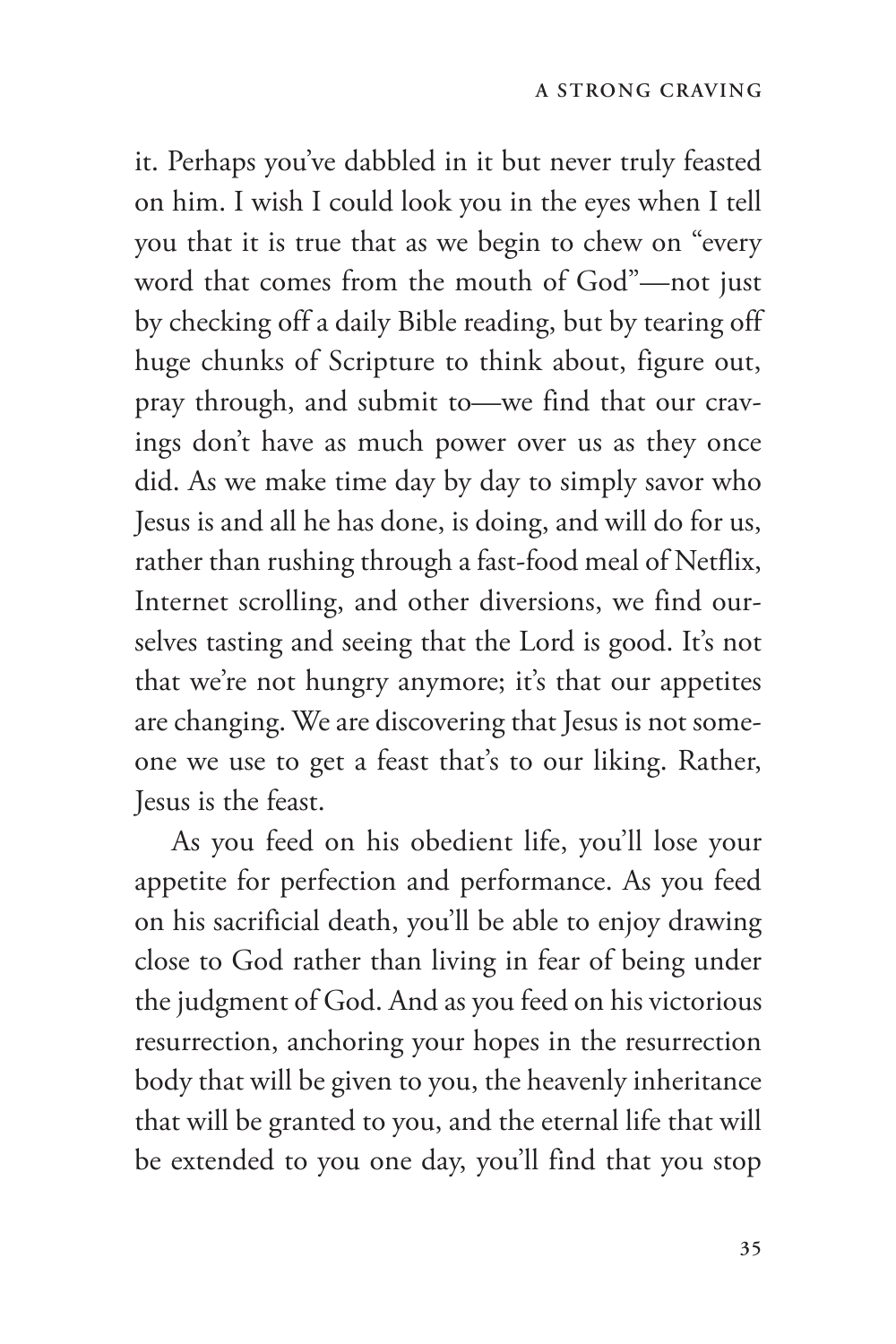it. Perhaps you've dabbled in it but never truly feasted on him. I wish I could look you in the eyes when I tell you that it is true that as we begin to chew on "every word that comes from the mouth of God"—not just by checking off a daily Bible reading, but by tearing off huge chunks of Scripture to think about, figure out, pray through, and submit to—we find that our cravings don't have as much power over us as they once did. As we make time day by day to simply savor who Jesus is and all he has done, is doing, and will do for us, rather than rushing through a fast-food meal of Netflix, Internet scrolling, and other diversions, we find ourselves tasting and seeing that the Lord is good. It's not that we're not hungry anymore; it's that our appetites are changing. We are discovering that Jesus is not someone we use to get a feast that's to our liking. Rather, Jesus is the feast.

As you feed on his obedient life, you'll lose your appetite for perfection and performance. As you feed on his sacrificial death, you'll be able to enjoy drawing close to God rather than living in fear of being under the judgment of God. And as you feed on his victorious resurrection, anchoring your hopes in the resurrection body that will be given to you, the heavenly inheritance that will be granted to you, and the eternal life that will be extended to you one day, you'll find that you stop